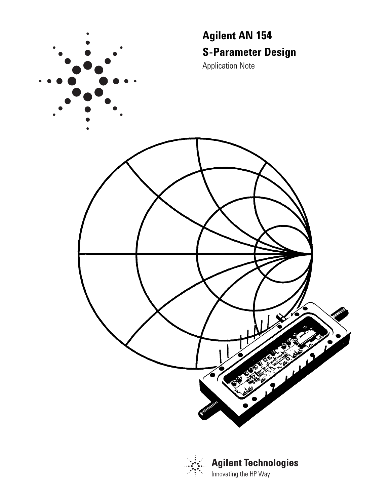



**Agilent Technologies** Innovating the HP Way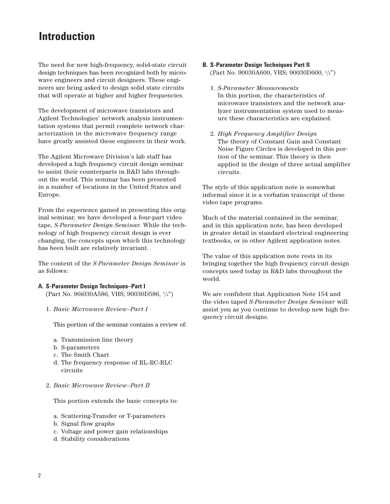# **Introduction**

The need for new high-frequency, solid-state circuit design techniques has been recognized both by microwave engineers and circuit designers. These engineers are being asked to design solid state circuits that will operate at higher and higher frequencies.

The development of microwave transistors and Agilent Technologies' network analysis instrumentation systems that permit complete network characterization in the microwave frequency range have greatly assisted these engineers in their work.

The Agilent Microwave Division's lab staff has developed a high frequency circuit design seminar to assist their counterparts in R&D labs throughout the world. This seminar has been presented in a number of locations in the United States and Europe.

From the experience gained in presenting this original seminar, we have developed a four-part video tape, *S-Parameter Design Seminar.* While the technology of high frequency circuit design is ever changing, the concepts upon which this technology has been built are relatively invariant.

The content of the *S-Parameter Design Seminar* is as follows:

## **A. S-Parameter Design Techniques–Part I**

(Part No. 90i030A586, VHS; 90030D586, 3 /4")

1. *Basic Microwave Review–Part I*

This portion of the seminar contains a review of:

- a. Transmission line theory
- b. S-parameters
- c. The Smith Chart
- d. The frequency response of RL-RC-RLC circuits
- 2. *Basic Microwave Review–Part II*

This portion extends the basic concepts to:

- a. Scattering-Transfer or T-parameters
- b. Signal flow graphs
- c. Voltage and power gain relationships
- d. Stability considerations

# **B. S-Parameter Design Techniques Part II** (Part No. 90030A600, VHS; 90030D600, 3 /4")

- 1. *S-Parameter Measurements* In this portion, the characteristics of microwave transistors and the network analyzer instrumentation system used to measure these characteristics are explained.
- 2. *High Frequency Amplifier Design* The theory of Constant Gain and Constant Noise Figure Circles is developed in this portion of the seminar. This theory is then applied in the design of three actual amplifier circuits.

The style of this application note is somewhat informal since it is a verbatim transcript of these video tape programs.

Much of the material contained in the seminar, and in this application note, has been developed in greater detail in standard electrical engineering textbooks, or in other Agilent application notes.

The value of this application note rests in its bringing together the high frequency circuit design concepts used today in R&D labs throughout the world.

We are confident that Application Note 154 and the video taped *S-Parameter Design Seminar* will assist you as you continue to develop new high frequency circuit designs.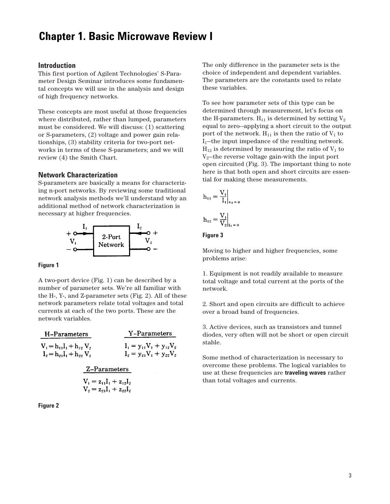# **Chapter 1. Basic Microwave Review I**

## **Introduction**

This first portion of Agilent Technologies' S-Parameter Design Seminar introduces some fundamental concepts we will use in the analysis and design of high frequency networks.

These concepts are most useful at those frequencies where distributed, rather than lumped, parameters must be considered. We will discuss: (1) scattering or S-parameters, (2) voltage and power gain relationships, (3) stability criteria for two-port networks in terms of these S-parameters; and we will review (4) the Smith Chart.

## **Network Characterization**

S-parameters are basically a means for characterizing n-port networks. By reviewing some traditional network analysis methods we'll understand why an additional method of network characterization is necessary at higher frequencies.



#### **Figure 1**

A two-port device (Fig. 1) can be described by a number of parameter sets. We're all familiar with the H-, Y-, and Z-parameter sets (Fig. 2). All of these network parameters relate total voltages and total currents at each of the two ports. These are the network variables.

| H-Parameters                                                   | Y-Parameters                                                   |  |  |  |
|----------------------------------------------------------------|----------------------------------------------------------------|--|--|--|
| $V_1 = h_{11}I_1 + h_{12}V_2$<br>$I_2 = h_{21}I_1 + h_{22}V_2$ | $I_1 = y_{11}V_1 + y_{12}V_2$<br>$I_2 = y_{21}V_1 + y_{22}V_2$ |  |  |  |
| Z-Parameters                                                   |                                                                |  |  |  |
| $V_1 = z_{11}I_1 + z_{12}I_2$                                  |                                                                |  |  |  |

$$
V_1 = Z_{11}I_1 + Z_{12}I_2
$$
  

$$
V_2 = Z_{21}I_1 + Z_{22}I_2
$$



The only difference in the parameter sets is the choice of independent and dependent variables. The parameters are the constants used to relate these variables.

To see how parameter sets of this type can be determined through measurement, let's focus on the H-parameters.  $H_{11}$  is determined by setting  $V_2$ equal to zero—applying a short circuit to the output port of the network.  $H_{11}$  is then the ratio of  $V_1$  to  $I_1$ —the input impedance of the resulting network.  $H_{12}$  is determined by measuring the ratio of  $V_1$  to  $V_2$ —the reverse voltage gain-with the input port open circuited (Fig. 3). The important thing to note here is that both open and short circuits are essential for making these measurements.

$$
h_{11} = \frac{V_1}{I_1}\Big|_{v_2 = t}
$$
  

$$
h_{12} = \frac{V_1}{V_2}\Big|_{v_1 = 0}
$$

## **Figure 3**

Moving to higher and higher frequencies, some problems arise:

1. Equipment is not readily available to measure total voltage and total current at the ports of the network.

2. Short and open circuits are difficult to achieve over a broad band of frequencies.

3. Active devices, such as transistors and tunnel diodes, very often will not be short or open circuit stable.

Some method of characterization is necessary to overcome these problems. The logical variables to use at these frequencies are **traveling waves** rather than total voltages and currents.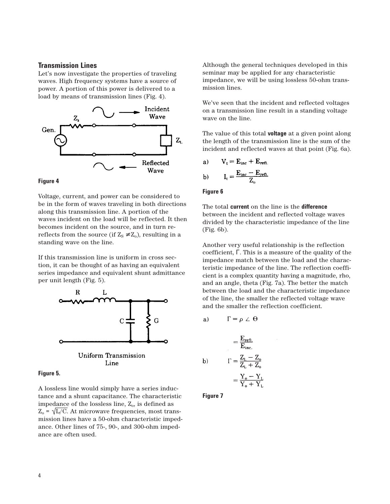## **Transmission Lines**

Let's now investigate the properties of traveling waves. High frequency systems have a source of power. A portion of this power is delivered to a load by means of transmission lines (Fig. 4).



## **Figure 4**

Voltage, current, and power can be considered to be in the form of waves traveling in both directions along this transmission line. A portion of the waves incident on the load will be reflected. It then becomes incident on the source, and in turn rereflects from the source (if  $Z_s \neq Z_o$ ), resulting in a standing wave on the line.

If this transmission line is uniform in cross section, it can be thought of as having an equivalent series impedance and equivalent shunt admittance per unit length (Fig. 5).



#### **Figure 5.**

A lossless line would simply have a series inductance and a shunt capacitance. The characteristic impedance of the lossless line,  $Z_0$ , is defined as  $Z_0$  =  $\sqrt{L/C}$ . At microwave frequencies, most transmission lines have a 50-ohm characteristic impedance. Other lines of 75-, 90-, and 300-ohm impedance are often used.

Although the general techniques developed in this seminar may be applied for any characteristic impedance, we will be using lossless 50-ohm transmission lines.

We've seen that the incident and reflected voltages on a transmission line result in a standing voltage wave on the line.

The value of this total **voltage** at a given point along the length of the transmission line is the sum of the incident and reflected waves at that point (Fig. 6a).

a) 
$$
V_t = E_{inc} + E_{refl.}
$$
  
b) 
$$
I_t = \frac{E_{inc} - E_{refl.}}{Z_{ci.}}
$$

#### **Figure 6**

The total **current** on the line is the **difference** between the incident and reflected voltage waves divided by the characteristic impedance of the line (Fig. 6b).

Another very useful relationship is the reflection coefficient, Γ. This is a measure of the quality of the impedance match between the load and the characteristic impedance of the line. The reflection coefficient is a complex quantity having a magnitude, rho, and an angle, theta (Fig. 7a). The better the match between the load and the characteristic impedance of the line, the smaller the reflected voltage wave and the smaller the reflection coefficient.

a) 
$$
\Gamma = \rho \angle \Theta
$$

$$
= \frac{E_{\text{ren}}}{E_{\text{inc}}} \\
b) \qquad \Gamma = \frac{Z_{L} - Z_{o}}{Z_{L} + Z_{o}} \\
= \frac{Y_{o} - Y_{L}}{Y_{o} + Y_{L}}
$$

**Figure 7**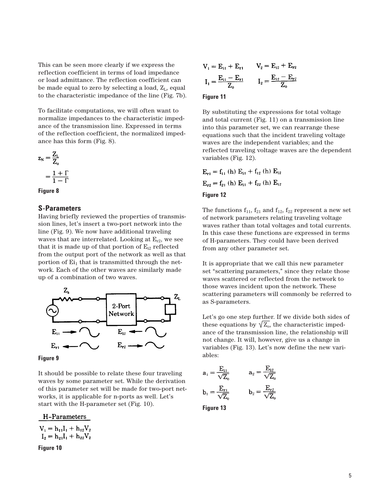This can be seen more clearly if we express the reflection coefficient in terms of load impedance or load admittance. The reflection coefficient can be made equal to zero by selecting a load,  $Z_L$ , equal to the characteristic impedance of the line (Fig. 7b).

To facilitate computations, we will often want to normalize impedances to the characteristic impedance of the transmission line. Expressed in terms of the reflection coefficient, the normalized impedance has this form (Fig. 8).

$$
z_{N} = \frac{Z_{L}}{Z_{o}}
$$

$$
= \frac{1 + \Gamma}{1 - \Gamma}
$$



# **S-Parameters**

Having briefly reviewed the properties of transmission lines, let's insert a two-port network into the line (Fig. 9). We now have additional traveling waves that are interrelated. Looking at  $E_{r2}$ , we see that it is made up of that portion of  $E_{i2}$  reflected from the output port of the network as well as that portion of  $Ei_1$  that is transmitted through the network. Each of the other waves are similarly made up of a combination of two waves.





It should be possible to relate these four traveling waves by some parameter set. While the derivation of this parameter set will be made for two-port networks, it is applicable for n-ports as well. Let's start with the H-parameter set (Fig. 10).

H-Parameters

$$
V_1 = h_{11}I_1 + h_{12}V_2
$$
  
\n
$$
I_2 = h_{21}I_1 + h_{22}V_2
$$
  
\nFigure 10

$$
V_1 = E_{11} + E_{r1} \t V_2 = E_{12} + E_{r2}
$$

$$
I_1 = \frac{E_{11} - E_{r1}}{Z_0} \t I_2 = \frac{E_{12} - E_{r2}}{Z_0}
$$

## **Figure 11**

By substituting the expressions for total voltage and total current (Fig. 11) on a transmission line into this parameter set, we can rearrange these equations such that the incident traveling voltage waves are the independent variables; and the reflected traveling voltage waves are the dependent variables (Fig. 12).

$$
E_{r1} = f_{11} \text{ (h)} E_{i1} + f_{12} \text{ (h)} E_{i2}
$$

$$
E_{r2} = f_{21} \text{ (h)} E_{i1} + f_{22} \text{ (h)} E_{i2}
$$

## **Figure 12**

The functions  $f_{11}$ ,  $f_{21}$  and  $f_{12}$ ,  $f_{22}$  represent a new set of network parameters relating traveling voltage waves rather than total voltages and total currents. In this case these functions are expressed in terms of H-parameters. They could have been derived from any other parameter set.

It is appropriate that we call this new parameter set "scattering parameters," since they relate those waves scattered or reflected from the network to those waves incident upon the network. These scattering parameters will commonly be referred to as S-parameters.

Let's go one step further. If we divide both sides of these equations by  $\sqrt{Z_0}$ , the characteristic impedance of the transmission line, the relationship will not change. It will, however, give us a change in variables (Fig. 13). Let's now define the new variables:

$$
a_1 = \frac{E_{11}}{\sqrt{Z_0}} \qquad a_2 = \frac{E_{12}}{\sqrt{Z_0}}
$$
  

$$
b_1 = \frac{E_{r1}}{\sqrt{Z_0}} \qquad b_2 = \frac{E_{r2}}{\sqrt{Z_0}}
$$

**Figure 13**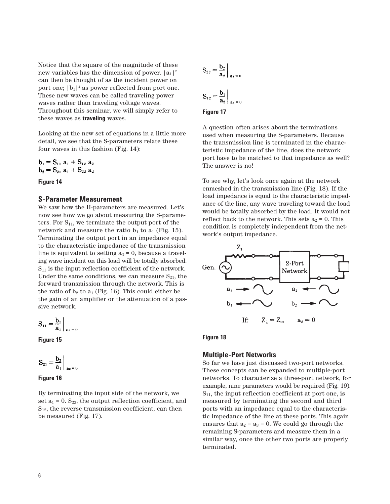Notice that the square of the magnitude of these new variables has the dimension of power.  $|a_1|^2$ can then be thought of as the incident power on port one;  $|b_1|^2$  as power reflected from port one. These new waves can be called traveling power waves rather than traveling voltage waves. Throughout this seminar, we will simply refer to these waves as **traveling** waves.

Looking at the new set of equations in a little more detail, we see that the S-parameters relate these four waves in this fashion (Fig. 14):

$$
b_1 = S_{11} a_1 + S_{12} a_2
$$
  

$$
b_2 = S_{21} a_1 + S_{22} a_2
$$

## **Figure 14**

#### **S-Parameter Measurement**

We saw how the H-parameters are measured. Let's now see how we go about measuring the S-parameters. For  $S_{11}$ , we terminate the output port of the network and measure the ratio  $b_1$  to  $a_1$  (Fig. 15). Terminating the output port in an impedance equal to the characteristic impedance of the transmission line is equivalent to setting  $a_2 = 0$ , because a traveling wave incident on this load will be totally absorbed.  $S_{11}$  is the input reflection coefficient of the network. Under the same conditions, we can measure  $S_{21}$ , the forward transmission through the network. This is the ratio of  $b_2$  to  $a_1$  (Fig. 16). This could either be the gain of an amplifier or the attenuation of a passive network.

$$
S_{11} = \frac{b_1}{a_1} \bigg|_{a_2 = 0}
$$

**Figure 15**

$$
S_{21}=\frac{b_2}{a_1}\bigg\vert_{a_2=0}
$$

**Figure 16**

By terminating the input side of the network, we set  $a_1 = 0$ . S<sub>22</sub>, the output reflection coefficient, and  $S_{12}$ , the reverse transmission coefficient, can then be measured (Fig. 17).

$$
S_{22} = \frac{b_2}{a_2} \bigg|_{a_1 = 0}
$$
  

$$
S_{12} = \frac{b_1}{a_2} \bigg|_{a_1 = 0}
$$

#### **Figure 17**

A question often arises about the terminations used when measuring the S-parameters. Because the transmission line is terminated in the characteristic impedance of the line, does the network port have to be matched to that impedance as well? The answer is no!

To see why, let's look once again at the network enmeshed in the transmission line (Fig. 18). If the load impedance is equal to the characteristic impedance of the line, any wave traveling toward the load would be totally absorbed by the load. It would not reflect back to the network. This sets  $a_2 = 0$ . This condition is completely independent from the network's output impedance.



**Figure 18**

## **Multiple-Port Networks**

So far we have just discussed two-port networks. These concepts can be expanded to multiple-port networks. To characterize a three-port network, for example, nine parameters would be required (Fig. 19).  $S_{11}$ , the input reflection coefficient at port one, is measured by terminating the second and third ports with an impedance equal to the characteristic impedance of the line at these ports. This again ensures that  $a_2 = a_3 = 0$ . We could go through the remaining S-parameters and measure them in a similar way, once the other two ports are properly terminated.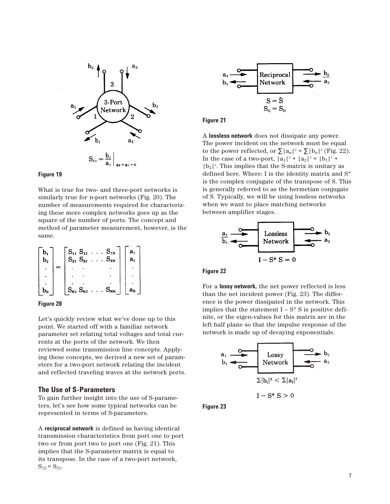

## **Figure 19**

What is true for two- and three-port networks is similarly true for n-port networks (Fig. 20). The number of measurements required for characterizing these more complex networks goes up as the square of the number of ports. The concept and method of parameter measurement, however, is the same.

| b.<br>b, | $S_{21}$          | $S_{11} S_{12}$<br>$S_{22}$ | $S_{1N}$<br>$S_{2N}$ | a,<br>a۰       |  |
|----------|-------------------|-----------------------------|----------------------|----------------|--|
|          |                   |                             |                      |                |  |
|          |                   |                             |                      |                |  |
|          |                   |                             |                      |                |  |
|          | $\mathbf{S_{N1}}$ | $S_{N2}$                    | $S_{NN}$             | a <sub>N</sub> |  |

# **Figure 20**

Let's quickly review what we've done up to this point. We started off with a familiar network parameter set relating total voltages and total currents at the ports of the network. We then reviewed some transmission line concepts. Applying these concepts, we derived a new set of parameters for a two-port network relating the incident and reflected traveling waves at the network ports.

## **The Use of S-Parameters**

To gain further insight into the use of S-parameters, let's see how some typical networks can be represented in terms of S-parameters.

A **reciprocal network** is defined as having identical transmission characteristics from port one to port two or from port two to port one (Fig. 21). This implies that the S-parameter matrix is equal to its transpose. In the case of a two-port network,  $S_{12} = S_{21}$ .



#### **Figure 21**

A **lossless network** does not dissipate any power. The power incident on the network must be equal to the power reflected, or  $\Sigma |a_n|^2 = \Sigma |b_n|^2$  (Fig. 22). In the case of a two-port,  $|a_1|^2 + |a_2|^2 = |b_1|^2 +$  $|b_2|^2$ . This implies that the S-matrix is unitary as defined here. Where: I is the identity matrix and S\* is the complex conjugate of the transpose of S. This is generally referred to as the hermetian conjugate of S. Typically, we will be using lossless networks when we want to place matching networks between amplifier stages.



# **Figure 22**

For a **lossy network,** the net power reflected is less than the net incident power (Fig. 23). The difference is the power dissipated in the network. This implies that the statement  $I - S^* S$  is positive definite, or the eigen-values for this matrix are in the left half plane so that the impulse response of the network is made up of decaying exponentials.



**Figure 23**

#### 7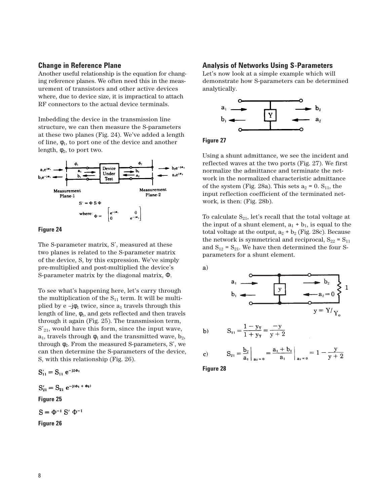# **Change in Reference Plane**

Another useful relationship is the equation for changing reference planes. We often need this in the measurement of transistors and other active devices where, due to device size, it is impractical to attach RF connectors to the actual device terminals.

Imbedding the device in the transmission line structure, we can then measure the S-parameters at these two planes (Fig. 24). We've added a length of line,  $\phi_1$ , to port one of the device and another length,  $\phi_2$ , to port two.



#### **Figure 24**

The S-parameter matrix, S', measured at these two planes is related to the S-parameter matrix of the device, S, by this expression. We've simply pre-multiplied and post-multiplied the device's S-parameter matrix by the diagonal matrix, Φ.

To see what's happening here, let's carry through the multiplication of the  $S_{11}$  term. It will be multiplied by e  $-j\phi_1$  twice, since  $a_1$  travels through this length of line,  $\phi_1$ , and gets reflected and then travels through it again (Fig. 25). The transmission term,  $S'_{21}$ , would have this form, since the input wave,  $a_1$ , travels through  $\phi_1$  and the transmitted wave,  $b_2$ , through  $\phi_2$ . From the measured S-parameters, S', we can then determine the S-parameters of the device, S, with this relationship (Fig. 26).

 $S'_{11} = S_{11} e^{-j2\phi_1}$  $S'_{21} = S_{21} e^{-j(\phi_1 + \phi_2)}$ **Figure 25**  $S = \Phi^{-1} S' \Phi^{-1}$ **Figure 26**

## **Analysis of Networks Using S-Parameters**

Let's now look at a simple example which will demonstrate how S-parameters can be determined analytically.





Using a shunt admittance, we see the incident and reflected waves at the two ports (Fig. 27). We first normalize the admittance and terminate the network in the normalized characteristic admittance of the system (Fig. 28a). This sets  $a_2 = 0$ . S<sub>11</sub>, the input reflection coefficient of the terminated network, is then: (Fig. 28b).

To calculate  $S_{21}$ , let's recall that the total voltage at the input of a shunt element,  $a_1 + b_1$ , is equal to the total voltage at the output,  $a_2 + b_2$  (Fig. 28c). Because the network is symmetrical and reciprocal,  $S_{22} = S_{11}$ and  $S_{12} = S_{21}$ . We have then determined the four Sparameters for a shunt element.

a)

b) 
$$
S_{11} = \frac{1 - y_T}{1 + y_T} = \frac{-y}{y + 2}
$$

c) 
$$
S_{21} = \frac{b_2}{a_1} \Big|_{a_2 = 0} = \frac{a_1 + b_1}{a_1} \Big|_{a_2 = 0} = 1 - \frac{y}{y + 2}
$$

**Figure 28**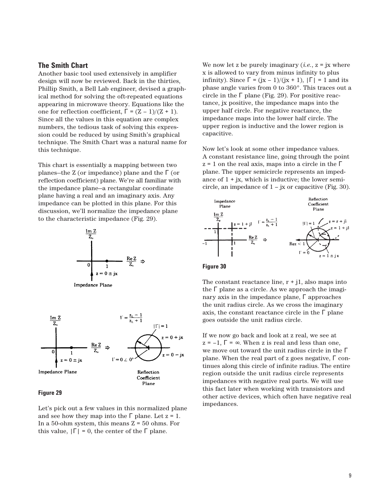## **The Smith Chart**

Another basic tool used extensively in amplifier design will now be reviewed. Back in the thirties, Phillip Smith, a Bell Lab engineer, devised a graphical method for solving the oft-repeated equations appearing in microwave theory. Equations like the one for reflection coefficient,  $\Gamma = (Z - 1)/(Z + 1)$ . Since all the values in this equation are complex numbers, the tedious task of solving this expression could be reduced by using Smith's graphical technique. The Smith Chart was a natural name for this technique.

This chart is essentially a mapping between two planes—the Z (or impedance) plane and the  $\Gamma$  (or reflection coefficient) plane. We're all familiar with the impedance plane—a rectangular coordinate plane having a real and an imaginary axis. Any impedance can be plotted in this plane. For this discussion, we'll normalize the impedance plane to the characteristic impedance (Fig. 29).







#### **Figure 29**

Let's pick out a few values in this normalized plane and see how they map into the  $\Gamma$  plane. Let  $z = 1$ . In a 50-ohm system, this means  $Z = 50$  ohms. For this value,  $|\Gamma| = 0$ , the center of the  $\Gamma$  plane.

We now let z be purely imaginary  $(i.e., z = jx$  where x is allowed to vary from minus infinity to plus infinity). Since  $\Gamma = (\mathbf{x} - 1)/(\mathbf{x} + 1)$ ,  $|\Gamma| = 1$  and its phase angle varies from 0 to 360°. This traces out a circle in the  $\Gamma$  plane (Fig. 29). For positive reactance, jx positive, the impedance maps into the upper half circle. For negative reactance, the impedance maps into the lower half circle. The upper region is inductive and the lower region is capacitive.

Now let's look at some other impedance values. A constant resistance line, going through the point  $z = 1$  on the real axis, maps into a circle in the  $\Gamma$ plane. The upper semicircle represents an impedance of  $1 + i$ x, which is inductive; the lower semicircle, an impedance of  $1 - i x$  or capacitive (Fig. 30).



**Figure 30**

The constant reactance line,  $r + j1$ , also maps into the  $\Gamma$  plane as a circle. As we approach the imaginary axis in the impedance plane, Γ approaches the unit radius circle. As we cross the imaginary axis, the constant reactance circle in the  $\Gamma$  plane goes outside the unit radius circle.

If we now go back and look at z real, we see at  $z = -1$ ,  $\Gamma = \infty$ . When z is real and less than one, we move out toward the unit radius circle in the Γ plane. When the real part of z goes negative, Γ continues along this circle of infinite radius. The entire region outside the unit radius circle represents impedances with negative real parts. We will use this fact later when working with transistors and other active devices, which often have negative real impedances.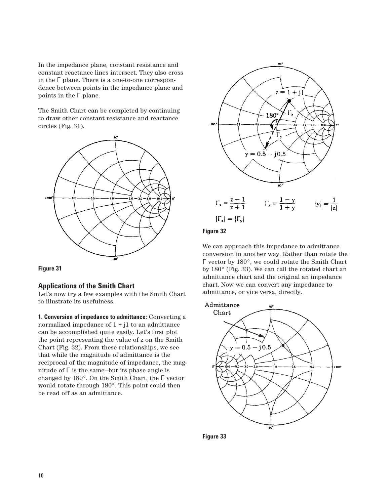In the impedance plane, constant resistance and constant reactance lines intersect. They also cross in the  $\Gamma$  plane. There is a one-to-one correspondence between points in the impedance plane and points in the Γ plane.

The Smith Chart can be completed by continuing to draw other constant resistance and reactance circles (Fig. 31).





## **Applications of the Smith Chart**

Let's now try a few examples with the Smith Chart to illustrate its usefulness.

**1. Conversion of impedance to admittance:** Converting a normalized impedance of  $1 + i1$  to an admittance can be accomplished quite easily. Let's first plot the point representing the value of z on the Smith Chart (Fig. 32). From these relationships, we see that while the magnitude of admittance is the reciprocal of the magnitude of impedance, the magnitude of  $\Gamma$  is the same-but its phase angle is changed by 180°. On the Smith Chart, the Γ vector would rotate through 180°. This point could then be read off as an admittance.



## **Figure 32**

We can approach this impedance to admittance conversion in another way. Rather than rotate the Γ vector by 180°, we could rotate the Smith Chart by 180° (Fig. 33). We can call the rotated chart an admittance chart and the original an impedance chart. Now we can convert any impedance to admittance, or vice versa, directly.



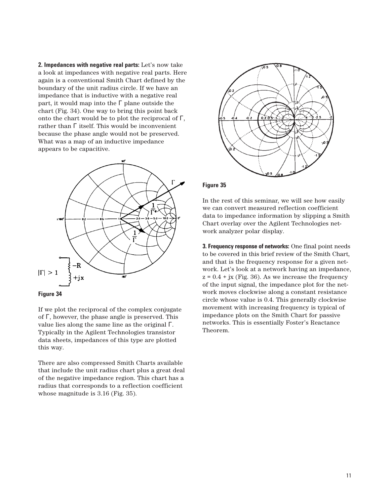**2. Impedances with negative real parts:** Let's now take a look at impedances with negative real parts. Here again is a conventional Smith Chart defined by the boundary of the unit radius circle. If we have an impedance that is inductive with a negative real part, it would map into the  $\Gamma$  plane outside the chart (Fig. 34). One way to bring this point back onto the chart would be to plot the reciprocal of  $\Gamma,$ rather than Γ itself. This would be inconvenient because the phase angle would not be preserved. What was a map of an inductive impedance appears to be capacitive.





If we plot the reciprocal of the complex conjugate of Γ, however, the phase angle is preserved. This value lies along the same line as the original Γ. Typically in the Agilent Technologies transistor data sheets, impedances of this type are plotted this way.

There are also compressed Smith Charts available that include the unit radius chart plus a great deal of the negative impedance region. This chart has a radius that corresponds to a reflection coefficient whose magnitude is 3.16 (Fig. 35).



## **Figure 35**

In the rest of this seminar, we will see how easily we can convert measured reflection coefficient data to impedance information by slipping a Smith Chart overlay over the Agilent Technologies network analyzer polar display.

**3. Frequency response of networks:** One final point needs to be covered in this brief review of the Smith Chart, and that is the frequency response for a given network. Let's look at a network having an impedance,  $z = 0.4 + jx$  (Fig. 36). As we increase the frequency of the input signal, the impedance plot for the network moves clockwise along a constant resistance circle whose value is 0.4. This generally clockwise movement with increasing frequency is typical of impedance plots on the Smith Chart for passive networks. This is essentially Foster's Reactance Theorem.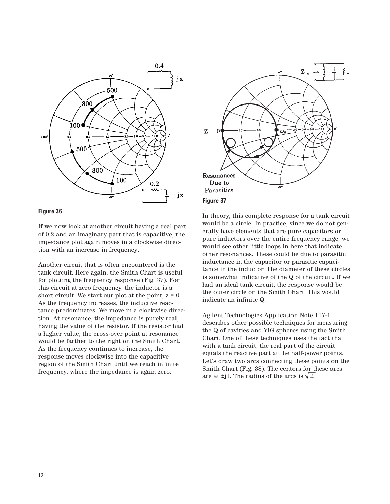

## **Figure 36**

If we now look at another circuit having a real part of 0.2 and an imaginary part that is capacitive, the impedance plot again moves in a clockwise direction with an increase in frequency.

Another circuit that is often encountered is the tank circuit. Here again, the Smith Chart is useful for plotting the frequency response (Fig. 37). For this circuit at zero frequency, the inductor is a short circuit. We start our plot at the point,  $z = 0$ . As the frequency increases, the inductive reactance predominates. We move in a clockwise direction. At resonance, the impedance is purely real, having the value of the resistor. If the resistor had a higher value, the cross-over point at resonance would be farther to the right on the Smith Chart. As the frequency continues to increase, the response moves clockwise into the capacitive region of the Smith Chart until we reach infinite frequency, where the impedance is again zero.



In theory, this complete response for a tank circuit would be a circle. In practice, since we do not generally have elements that are pure capacitors or pure inductors over the entire frequency range, we would see other little loops in here that indicate other resonances. These could be due to parasitic inductance in the capacitor or parasitic capacitance in the inductor. The diameter of these circles is somewhat indicative of the Q of the circuit. If we had an ideal tank circuit, the response would be the outer circle on the Smith Chart. This would indicate an infinite Q.

Agilent Technologies Application Note 117-1 describes other possible techniques for measuring the Q of cavities and YIG spheres using the Smith Chart. One of these techniques uses the fact that with a tank circuit, the real part of the circuit equals the reactive part at the half-power points. Let's draw two arcs connecting these points on the Smith Chart (Fig. 38). The centers for these arcs are at  $\pm$ j1. The radius of the arcs is  $\sqrt{2}$ .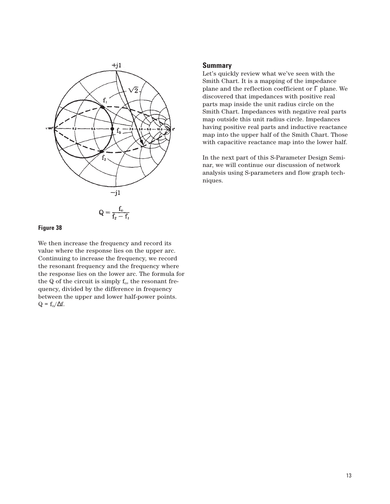

# **Figure 38**

We then increase the frequency and record its value where the response lies on the upper arc. Continuing to increase the frequency, we record the resonant frequency and the frequency where the response lies on the lower arc. The formula for the  $Q$  of the circuit is simply  $f_0$ , the resonant frequency, divided by the difference in frequency between the upper and lower half-power points.  $Q = f_0/\Delta f$ .

## **Summary**

Let's quickly review what we've seen with the Smith Chart. It is a mapping of the impedance plane and the reflection coefficient or Γ plane. We discovered that impedances with positive real parts map inside the unit radius circle on the Smith Chart. Impedances with negative real parts map outside this unit radius circle. Impedances having positive real parts and inductive reactance map into the upper half of the Smith Chart. Those with capacitive reactance map into the lower half.

In the next part of this S-Parameter Design Seminar, we will continue our discussion of network analysis using S-parameters and flow graph techniques.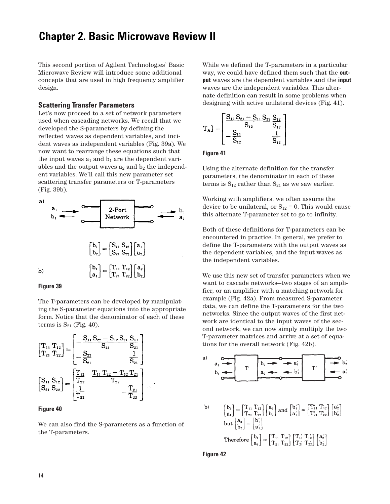# **Chapter 2. Basic Microwave Review II**

This second portion of Agilent Technologies' Basic Microwave Review will introduce some additional concepts that are used in high frequency amplifier design.

## **Scattering Transfer Parameters**

Let's now proceed to a set of network parameters used when cascading networks. We recall that we developed the S-parameters by defining the reflected waves as dependent variables, and incident waves as independent variables (Fig. 39a). We now want to rearrange these equations such that the input waves  $a_1$  and  $b_1$  are the dependent variables and the output waves  $a_2$  and  $b_2$  the independent variables. We'll call this new parameter set scattering transfer parameters or T-parameters (Fig. 39b).



The T-parameters can be developed by manipulating the S-parameter equations into the appropriate form. Notice that the denominator of each of these terms is  $S_{21}$  (Fig. 40).

$$
\begin{bmatrix}\nT_{11} T_{12} \\
T_{21} T_{22}\n\end{bmatrix} = \begin{bmatrix}\n-\frac{S_{11} S_{22} - S_{12} S_{21} S_{11}}{S_{21}} \\
-\frac{S_{22}}{S_{21}} & \frac{1}{S_{21}} \\
-\frac{S_{22}}{S_{21}} & \frac{1}{S_{21}}\n\end{bmatrix}
$$
\n
$$
\begin{bmatrix}\nS_{11} S_{12} \\
S_{21} S_{22}\n\end{bmatrix} = \begin{bmatrix}\n\frac{T_{12}}{T_{22}} & \frac{T_{11} T_{22} - T_{12} T_{21}}{T_{22}} \\
\frac{1}{T_{22}} & -\frac{T_{21}}{T_{22}}\n\end{bmatrix}
$$

## **Figure 40**

We can also find the S-parameters as a function of the T-parameters.

While we defined the T-parameters in a particular way, we could have defined them such that the **output** waves are the dependent variables and the **input** waves are the independent variables. This alternate definition can result in some problems when designing with active unilateral devices (Fig. 41).

$$
T_{\text{A}}] = \begin{bmatrix} \frac{S_{12} S_{21} - S_{11} S_{22} S_{22}}{S_{12}} \\ -\frac{S_{11}}{S_{12}} & \frac{1}{S_{12}} \end{bmatrix}
$$

**Figure 41**

Using the alternate definition for the transfer parameters, the denominator in each of these terms is  $S_{12}$  rather than  $S_{21}$  as we saw earlier.

Working with amplifiers, we often assume the device to be unilateral, or  $S_{12}$  = 0. This would cause this alternate T-parameter set to go to infinity.

Both of these definitions for T-parameters can be encountered in practice. In general, we prefer to define the T-parameters with the output waves as the dependent variables, and the input waves as the independent variables.

We use this new set of transfer parameters when we want to cascade networks—two stages of an amplifier, or an amplifier with a matching network for example (Fig. 42a). From measured S-parameter data, we can define the T-parameters for the two networks. Since the output waves of the first network are identical to the input waves of the second network, we can now simply multiply the two T-parameter matrices and arrive at a set of equations for the overall network (Fig. 42b).



**Figure 42**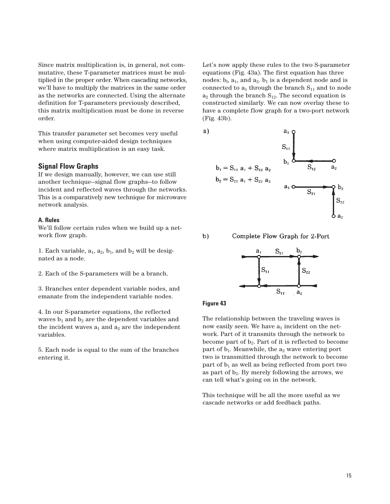Since matrix multiplication is, in general, not commutative, these T-parameter matrices must be multiplied in the proper order. When cascading networks, we'll have to multiply the matrices in the same order as the networks are connected. Using the alternate definition for T-parameters previously described, this matrix multiplication must be done in reverse order.

This transfer parameter set becomes very useful when using computer-aided design techniques where matrix multiplication is an easy task.

## **Signal Flow Graphs**

If we design manually, however, we can use still another technique—signal flow graphs—to follow incident and reflected waves through the networks. This is a comparatively new technique for microwave network analysis.

## **A. Rules**

We'll follow certain rules when we build up a network flow graph.

1. Each variable,  $a_1$ ,  $a_2$ ,  $b_1$ , and  $b_2$  will be designated as a node.

2. Each of the S-parameters will be a branch.

3. Branches enter dependent variable nodes, and emanate from the independent variable nodes.

4. In our S-parameter equations, the reflected waves  $b_1$  and  $b_2$  are the dependent variables and the incident waves  $a_1$  and  $a_2$  are the independent variables.

5. Each node is equal to the sum of the branches entering it.

Let's now apply these rules to the two S-parameter equations (Fig. 43a). The first equation has three nodes:  $b_1$ ,  $a_1$ , and  $a_2$ .  $b_1$  is a dependent node and is connected to  $a_1$  through the branch  $S_{11}$  and to node  $a_2$  through the branch  $S_{12}$ . The second equation is constructed similarly. We can now overlay these to have a complete flow graph for a two-port network (Fig. 43b).



 $b)$ 

Complete Flow Graph for 2-Port



#### **Figure 43**

The relationship between the traveling waves is now easily seen. We have  $a_1$  incident on the network. Part of it transmits through the network to become part of  $b_2$ . Part of it is reflected to become part of  $b_1$ . Meanwhile, the  $a_2$  wave entering port two is transmitted through the network to become part of  $b_1$  as well as being reflected from port two as part of  $b_2$ . By merely following the arrows, we can tell what's going on in the network.

This technique will be all the more useful as we cascade networks or add feedback paths.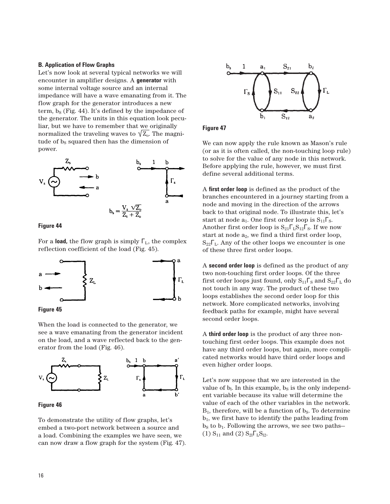#### **B. Application of Flow Graphs**

Let's now look at several typical networks we will encounter in amplifier designs. A **generator** with some internal voltage source and an internal impedance will have a wave emanating from it. The flow graph for the generator introduces a new term,  $b_S$  (Fig. 44). It's defined by the impedance of the generator. The units in this equation look peculiar, but we have to remember that we originally normalized the traveling waves to  $\sqrt{Z_0}$ . The magnitude of  $b_s$  squared then has the dimension of power.



#### **Figure 44**

For a **load,** the flow graph is simply  $\Gamma_{\text{L}}$ , the complex reflection coefficient of the load (Fig. 45).





When the load is connected to the generator, we see a wave emanating from the generator incident on the load, and a wave reflected back to the generator from the load (Fig. 46).



```
Figure 46
```
To demonstrate the utility of flow graphs, let's embed a two-port network between a source and a load. Combining the examples we have seen, we can now draw a flow graph for the system (Fig. 47).



**Figure 47**

We can now apply the rule known as Mason's rule (or as it is often called, the non-touching loop rule) to solve for the value of any node in this network. Before applying the rule, however, we must first define several additional terms.

A **first order loop** is defined as the product of the branches encountered in a journey starting from a node and moving in the direction of the arrows back to that original node. To illustrate this, let's start at node  $a_1$ . One first order loop is  $S_{11}\Gamma_S$ . Another first order loop is  $S_{21}\Gamma_{L}S_{12}\Gamma_{S}$ . If we now start at node  $a_2$ , we find a third first order loop,  $S_{22}\Gamma_{L}$ . Any of the other loops we encounter is one of these three first order loops.

A **second order loop** is defined as the product of any two non-touching first order loops. Of the three first order loops just found, only  $S_{11}\Gamma_S$  and  $S_{22}\Gamma_L$  do not touch in any way. The product of these two loops establishes the second order loop for this network. More complicated networks, involving feedback paths for example, might have several second order loops.

A **third order loop** is the product of any three nontouching first order loops. This example does not have any third order loops, but again, more complicated networks would have third order loops and even higher order loops.

Let's now suppose that we are interested in the value of  $b<sub>l</sub>$ . In this example,  $b<sub>S</sub>$  is the only independent variable because its value will determine the value of each of the other variables in the network.  $B_1$ , therefore, will be a function of  $b_S$ . To determine  $b_1$ , we first have to identify the paths leading from  $b<sub>S</sub>$  to  $b<sub>1</sub>$ . Following the arrows, we see two paths-(1)  $S_{11}$  and (2)  $S_{21} \Gamma_{L} S_{12}$ .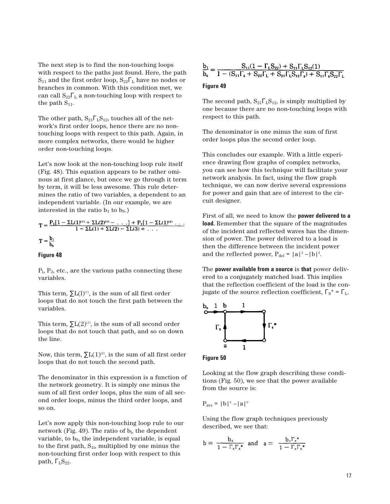The next step is to find the non-touching loops with respect to the paths just found. Here, the path  $S_{11}$  and the first order loop,  $S_{22}\Gamma_{\text{L}}$  have no nodes or branches in common. With this condition met, we can call  $S_{22}\Gamma_{\text{L}}$  a non-touching loop with respect to the path  $S_{11}$ .

The other path,  $S_{21}\Gamma_{L}S_{12}$ , touches all of the network's first order loops, hence there are no nontouching loops with respect to this path. Again, in more complex networks, there would be higher order non-touching loops.

Let's now look at the non-touching loop rule itself (Fig. 48). This equation appears to be rather ominous at first glance, but once we go through it term by term, it will be less awesome. This rule determines the ratio of two variables, a dependent to an independent variable. (In our example, we are interested in the ratio  $b_1$  to  $b_S$ .)

$$
T = \frac{P_1[1 - \Sigma L(1)^{(1)} + \Sigma L(2)^{(1)} - \dots] + P_2[1 - \Sigma L(1)^{(2)} \dots]}{1 - \Sigma L(1) + \Sigma L(2) - \Sigma L(3) + \dots}
$$

$$
T = \frac{b_1}{b_s}
$$

#### **Figure 48**

 $P_1$ ,  $P_2$ , etc., are the various paths connecting these variables.

This term,  $\sum L(1)^{(1)}$ , is the sum of all first order loops that do not touch the first path between the variables.

This term,  $\sum L(2)^{(1)}$ , is the sum of all second order loops that do not touch that path, and so on down the line.

Now, this term,  $\sum L(1)^{(2)}$ , is the sum of all first order loops that do not touch the second path.

The denominator in this expression is a function of the network geometry. It is simply one minus the sum of all first order loops, plus the sum of all second order loops, minus the third order loops, and so on.

Let's now apply this non-touching loop rule to our network (Fig. 49). The ratio of  $b<sub>l</sub>$ , the dependent variable, to  $b_{\rm S}$ , the independent variable, is equal to the first path,  $S_{1l}$ , multiplied by one minus the non-touching first order loop with respect to this path,  $\Gamma_{L}S_{22}$ .

$$
\frac{b_1}{b_s} = \frac{S_{11}(1-\Gamma_{L}S_{22})+S_{21}\Gamma_{L}S_{12}(1)}{1-(S_{11}\Gamma_{s}+S_{22}\Gamma_{L}+S_{21}\Gamma_{L}S_{12}\Gamma_{s})+S_{11}\Gamma_{s}S_{22}\Gamma_{L}}
$$

#### **Figure 49**

The second path,  $S_{21}\Gamma_{L}S_{12}$ , is simply multiplied by one because there are no non-touching loops with respect to this path.

The denominator is one minus the sum of first order loops plus the second order loop.

This concludes our example. With a little experience drawing flow graphs of complex networks, you can see how this technique will facilitate your network analysis. In fact, using the flow graph technique, we can now derive several expressions for power and gain that are of interest to the circuit designer.

First of all, we need to know the **power delivered to a load.** Remember that the square of the magnitudes of the incident and reflected waves has the dimension of power. The power delivered to a load is then the difference between the incident power and the reflected power,  $P_{del} = |a|^2 - |b|^2$ .

The **power available from a source** is **that** power delivered to a conjugately matched load. This implies that the reflection coefficient of the load is the conjugate of the source reflection coefficient,  $\Gamma_{\rm S}^* = \Gamma_{\rm L}$ .



**Figure 50**

Looking at the flow graph describing these conditions (Fig. 50), we see that the power available from the source is:

 $P_{\text{avs}} = |b|^2 - |a|^2$ 

Using the flow graph techniques previously described, we see that:

$$
b = \frac{b_s}{1 - \Gamma_s \Gamma_s^*} \text{ and } a = \frac{b_s \Gamma_s^*}{1 - \Gamma_s \Gamma_s^*}
$$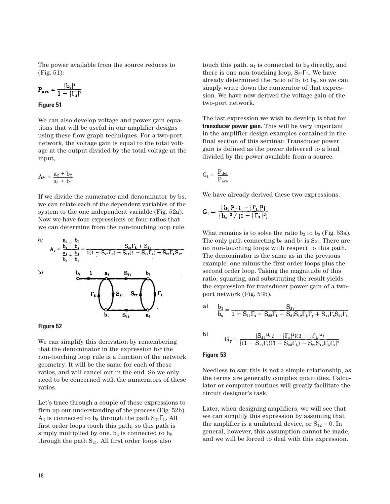The power available from the source reduces to (Fig. 51):

$$
P_{\text{avs}} = \frac{|b_s|^2}{1 - |\Gamma_s|^2}
$$

**Figure 51**

We can also develop voltage and power gain equations that will be useful in our amplifier designs using these flow graph techniques. For a two-port network, the voltage gain is equal to the total voltage at the output divided by the total voltage at the input,

$$
Av = \frac{a_2 + b_2}{a_1 + b_1}
$$

If we divide the numerator and denominator by bs, we can relate each of the dependent variables of the system to the one independent variable (Fig. 52a). Now we have four expressions or four ratios that we can determine from the non-touching loop rule.





We can simplify this derivation by remembering that the denominator in the expression for the non-touching loop rule is a function of the network geometry. It will be the same for each of these ratios, and will cancel out in the end. So we only need to be concerned with the numerators of these ratios.

Let's trace through a couple of these expressions to firm up our understanding of the process (Fig. 52b).  $A_2$  is connected to b<sub>s</sub> through the path  $S_{21}\Gamma_L$ . All first order loops touch this path, so this path is simply multiplied by one.  $b_2$  is connected to  $b_S$ through the path  $S_{21}$ . All first order loops also

touch this path.  $a_1$  is connected to  $b_S$  directly, and there is one non-touching loop,  $S_{22}\Gamma_{L}$ . We have already determined the ratio of  $b_1$  to  $b_s$ , so we can simply write down the numerator of that expression. We have now derived the voltage gain of the two-port network.

The last expression we wish to develop is that for **transducer power gain**. This will be very important in the amplifier design examples contained in the final section of this seminar. Transducer power gain is defined as the power delivered to a load divided by the power available from a source.

$$
G_t = \frac{P_{del}}{P_{avs}}
$$

We have already derived these two expressions.

$$
G_t = \frac{|\mathbf{b}_2|^2 (1 - |\Gamma_L|^2)}{|\mathbf{b}_s|^2 / (1 - |\Gamma_s|^2)}
$$

What remains is to solve the ratio  $b_2$  to  $b_S$  (Fig. 53a). The only path connecting  $b_S$  and  $b_2$  is  $S_{21}$ . There are no non-touching loops with respect to this path. The denominator is the same as in the previous example: one minus the first order loops plus the second order loop. Taking the magnitude of this ratio, squaring, and substituting the result yields the expression for transducer power gain of a twoport network (Fig. 53b).

$$
a)\quad \ \frac{b_2}{b_s}=\frac{S_{21}}{1-S_{11}\Gamma_s-S_{22}\Gamma_L-S_{21}S_{12}\Gamma_L\Gamma_s+S_{11}\Gamma_sS_{22}\Gamma_L}
$$

b) 
$$
G_T = \frac{|S_{21}|^2 (1 - |\Gamma_s|^2)(1 - |\Gamma_L|^2)}{|(1 - S_{11} \Gamma_s)(1 - S_{22} \Gamma_L) - S_{21} S_{12} \Gamma_L \Gamma_s|^2}
$$

## **Figure 53**

Needless to say, this is not a simple relationship, as the terms are generally complex quantities. Calculator or computer routines will greatly facilitate the circuit designer's task.

Later, when designing amplifiers, we will see that we can simplify this expression by assuming that the amplifier is a unilateral device, or  $S_{12} = 0$ . In general, however, this assumption cannot be made, and we will be forced to deal with this expression.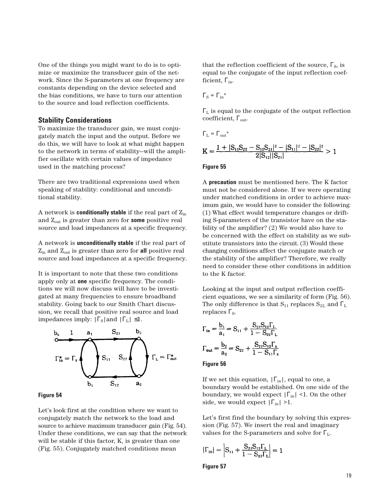One of the things you might want to do is to optimize or maximize the transducer gain of the network. Since the S-parameters at one frequency are constants depending on the device selected and the bias conditions, we have to turn our attention to the source and load reflection coefficients.

## **Stability Considerations**

To maximize the transducer gain, we must conjugately match the input and the output. Before we do this, we will have to look at what might happen to the network in terms of stability—will the amplifier oscillate with certain values of impedance used in the matching process?

There are two traditional expressions used when speaking of stability: conditional and unconditional stability.

A network is **conditionally stable** if the real part of Zin and Zout is greater than zero for **some** positive real source and load impedances at a specific frequency.

A network is **unconditionally stable** if the real part of Zin and Zout is greater than zero for **all** positive real source and load impedances at a specific frequency.

It is important to note that these two conditions apply only at **one** specific frequency. The conditions we will now discuss will have to be investigated at many frequencies to ensure broadband stability. Going back to our Smith Chart discussion, we recall that positive real source and load impedances imply:  $|\Gamma_{\rm S}|$  and  $|\Gamma_{\rm L}| \leq 1$ .



## **Figure 54**

Let's look first at the condition where we want to conjugately match the network to the load and source to achieve maximum transducer gain (Fig. 54). Under these conditions, we can say that the network will be stable if this factor, K, is greater than one (Fig. 55). Conjugately matched conditions mean

that the reflection coefficient of the source,  $\Gamma_{\rm S}$ , is equal to the conjugate of the input reflection coefficient,  $\Gamma_{\text{in}}$ .

$$
\Gamma_{\rm S}=\Gamma_{\rm in}{}^*
$$

 $\Gamma_\mathrm{L}$  is equal to the conjugate of the output reflection coefficient,  $\Gamma_{\text{out}}$ .

$$
\Gamma_{\rm L}=\Gamma_{\rm out}{}^*
$$
\n
$$
K=\frac{1+|S_{11}S_{22}-S_{12}S_{21}|^2-|S_{11}|^2-|S_{22}|^2}{2|S_{12}||S_{21}|}>1
$$

#### **Figure 55**

A **precaution** must be mentioned here. The K factor must not be considered alone. If we were operating under matched conditions in order to achieve maximum gain, we would have to consider the following: (1) What effect would temperature changes or drifting S-parameters of the transistor have on the stability of the amplifier? (2) We would also have to be concerned with the effect on stability as we substitute transistors into the circuit. (3) Would these changing conditions affect the conjugate match or the stability of the amplifier? Therefore, we really need to consider these other conditions in addition to the K factor.

Looking at the input and output reflection coefficient equations, we see a similarity of form (Fig. 56). The only difference is that  $S_{11}$  replaces  $S_{22}$  and  $\Gamma_L$ replaces  $\Gamma_{\rm S}$ .

$$
\Gamma_{\text{in}} = \frac{b_1}{a_1} = S_{11} + \frac{S_{21}S_{12}\Gamma_L}{1 - S_{22}\Gamma_L}
$$

$$
\Gamma_{\text{out}} = \frac{b_2}{a_2} = S_{22} + \frac{S_{21}S_{12}\Gamma_s}{1 - S_{11}\Gamma_s}
$$

#### **Figure 56**

If we set this equation,  $|\Gamma_{in}|$ , equal to one, a boundary would be established. On one side of the boundary, we would expect  $|\Gamma_{\text{in}}|$  <1. On the other side, we would expect  $|\Gamma_{in}| > 1$ .

Let's first find the boundary by solving this expression (Fig. 57). We insert the real and imaginary values for the S-parameters and solve for  $\Gamma_{\rm L}$ .

$$
|\Gamma_{in}| = \left| S_{11} + \frac{S_{21}S_{12}\Gamma_L}{1 - S_{22}\Gamma_L} \right| = 1
$$

**Figure 57**

19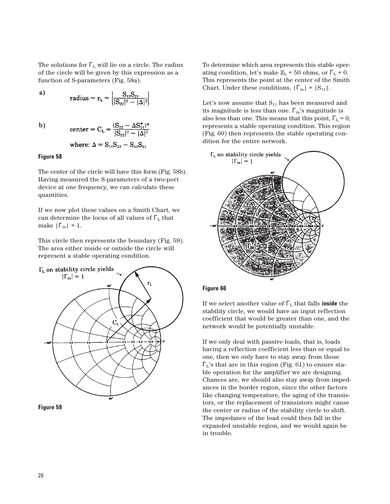The solutions for  $\Gamma$ <sub>L</sub> will lie on a circle. The radius of the circle will be given by this expression as a function of S-parameters (Fig. 58a).

a) 
$$
radius = r_{L} = \left| \frac{S_{12}S_{21}}{|S_{22}|^{2} - |\Delta|^{2}} \right|
$$

 $b)$ 

where: 
$$
\Delta = S_{11}S_{22} - S_{12}S_{21}
$$

center =  $C_L = \frac{(S_{22} - \Delta S_{11}^*)^*}{|S_{22}|^2 - |\Delta|^2}$ 

## **Figure 58**

The center of the circle will have this form (Fig. 58b). Having measured the S-parameters of a two-port device at one frequency, we can calculate these quantities.

If we now plot these values on a Smith Chart, we can determine the locus of all values of  $\Gamma_{\rm L}$  that make  $|\Gamma_{\text{in}}| = 1$ .

This circle then represents the boundary (Fig. 59). The area either inside or outside the circle will represent a stable operating condition.





To determine which area represents this stable operating condition, let's make  $Z_L = 50$  ohms, or  $\Gamma_L = 0$ . This represents the point at the center of the Smith Chart. Under these conditions,  $|\Gamma_{in}| = |S_{11}|$ .

Let's now assume that  $S_{11}$  has been measured and its magnitude is less than one.  $\Gamma_{in}$ 's magnitude is also less than one. This means that this point,  $\Gamma_{\text{L}} = 0$ , represents a stable operating condition. This region (Fig. 60) then represents the stable operating condition for the entire network.



## **Figure 60**

If we select another value of  $\Gamma$ <sub>L</sub> that falls **inside** the stability circle, we would have an input reflection coefficient that would be greater than one, and the network would be potentially unstable.

If we only deal with passive loads, that is, loads having a reflection coefficient less than or equal to one, then we only have to stay away from those  $\Gamma_L$ 's that are in this region (Fig. 61) to ensure stable operation for the amplifier we are designing. Chances are, we should also stay away from impedances in the border region, since the other factors like changing temperature, the aging of the transistors, or the replacement of transistors might cause the center or radius of the stability circle to shift. The impedance of the load could then fall in the expanded unstable region, and we would again be in trouble.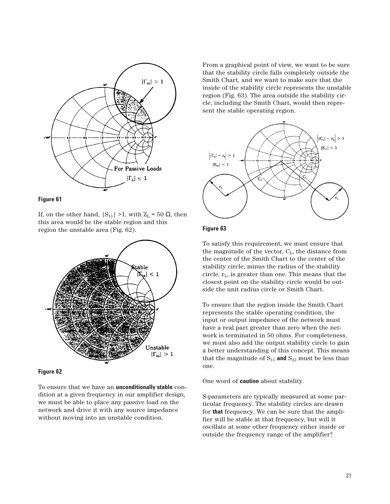



If, on the other hand,  $|S_{11}| > 1$ , with  $Z_L = 50$  Ω, then this area would be the stable region and this region the unstable area (Fig. 62).



#### **Figure 62**

To ensure that we have an **unconditionally stable** condition at a given frequency in our amplifier design, we must be able to place any passive load on the network and drive it with any source impedance without moving into an unstable condition.

From a graphical point of view, we want to be sure that the stability circle falls completely outside the Smith Chart, and we want to make sure that the inside of the stability circle represents the unstable region (Fig. 63). The area outside the stability circle, including the Smith Chart, would then represent the stable operating region.



## **Figure 63**

To satisfy this requirement, we must ensure that the magnitude of the vector,  $C_{L}$ , the distance from the center of the Smith Chart to the center of the stability circle, minus the radius of the stability circle,  $r<sub>L</sub>$ , is greater than one. This means that the closest point on the stability circle would be outside the unit radius circle or Smith Chart.

To ensure that the region inside the Smith Chart represents the stable operating condition, the input or output impedance of the network must have a real part greater than zero when the network is terminated in 50 ohms. For completeness, we must also add the output stability circle to gain a better understanding of this concept. This means that the magnitude of  $S_{11}$  and  $S_{22}$  must be less than one.

One word of **caution** about stability.

S-parameters are typically measured at some particular frequency. The stability circles are drawn for **that** frequency. We can be sure that the amplifier will be stable at that frequency, but will it oscillate at some other frequency either inside or outside the frequency range of the amplifier?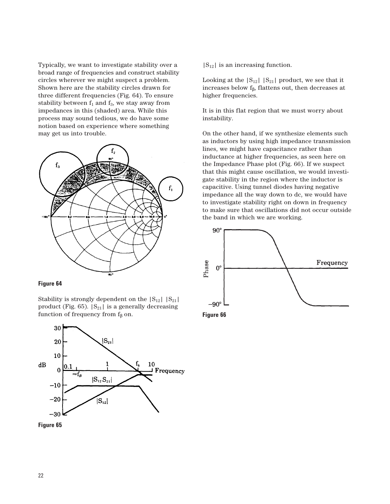Typically, we want to investigate stability over a broad range of frequencies and construct stability circles wherever we might suspect a problem. Shown here are the stability circles drawn for three different frequencies (Fig. 64). To ensure stability between  $f_1$  and  $f_3$ , we stay away from impedances in this (shaded) area. While this process may sound tedious, we do have some notion based on experience where something may get us into trouble.



## **Figure 64**

Stability is strongly dependent on the  $|S_{12}| |S_{21}|$ product (Fig. 65).  $|S_{21}|$  is a generally decreasing function of frequency from  $f_\beta$  on.





 $|S_{12}|$  is an increasing function.

Looking at the  $|S_{12}|$   $|S_{21}|$  product, we see that it increases below  $f_B$ , flattens out, then decreases at higher frequencies.

It is in this flat region that we must worry about instability.

On the other hand, if we synthesize elements such as inductors by using high impedance transmission lines, we might have capacitance rather than inductance at higher frequencies, as seen here on the Impedance Phase plot (Fig. 66). If we suspect that this might cause oscillation, we would investigate stability in the region where the inductor is capacitive. Using tunnel diodes having negative impedance all the way down to dc, we would have to investigate stability right on down in frequency to make sure that oscillations did not occur outside the band in which we are working.

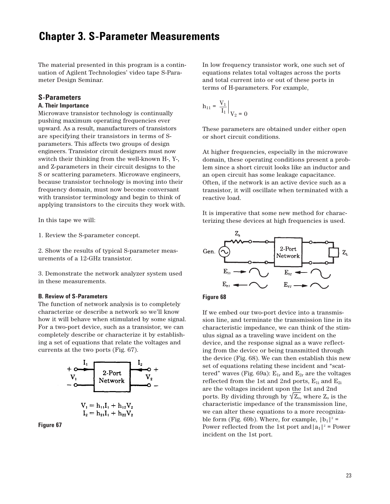# **Chapter 3. S-Parameter Measurements**

The material presented in this program is a continuation of Agilent Technologies' video tape S-Parameter Design Seminar.

# **S-Parameters**

## **A. Their Importance**

Microwave transistor technology is continually pushing maximum operating frequencies ever upward. As a result, manufacturers of transistors are specifying their transistors in terms of Sparameters. This affects two groups of design engineers. Transistor circuit designers must now switch their thinking from the well-known H-, Y-, and Z-parameters in their circuit designs to the S or scattering parameters. Microwave engineers, because transistor technology is moving into their frequency domain, must now become conversant with transistor terminology and begin to think of applying transistors to the circuits they work with.

In this tape we will:

1. Review the S-parameter concept.

2. Show the results of typical S-parameter measurements of a 12-GHz transistor.

3. Demonstrate the network analyzer system used in these measurements.

#### **B. Review of S-Parameters**

The function of network analysis is to completely characterize or describe a network so we'll know how it will behave when stimulated by some signal. For a two-port device, such as a transistor, we can completely describe or characterize it by establishing a set of equations that relate the voltages and currents at the two ports (Fig. 67).



**Figure 67**

In low frequency transistor work, one such set of equations relates total voltages across the ports and total current into or out of these ports in terms of H-parameters. For example,

$$
h_{11} = \left. \frac{V_1}{I_1} \right|_{V_2} = 0
$$

These parameters are obtained under either open or short circuit conditions.

At higher frequencies, especially in the microwave domain, these operating conditions present a problem since a short circuit looks like an inductor and an open circuit has some leakage capacitance. Often, if the network is an active device such as a transistor, it will oscillate when terminated with a reactive load.

It is imperative that some new method for characterizing these devices at high frequencies is used.





If we embed our two-port device into a transmission line, and terminate the transmission line in its characteristic impedance, we can think of the stimulus signal as a traveling wave incident on the device, and the response signal as a wave reflecting from the device or being transmitted through the device (Fig. 68). We can then establish this new set of equations relating these incident and "scattered" waves (Fig. 69a):  $E_{1r}$  and  $E_{2r}$  are the voltages reflected from the 1st and 2nd ports,  $E_{1i}$  and  $E_{2i}$ are the voltages incident upon the 1st and 2nd ports. By dividing through by  $\sqrt{Z_{0}}$ , where  $Z_{0}$  is the characteristic impedance of the transmission line, we can alter these equations to a more recognizable form (Fig. 69b). Where, for example,  $|b_1|^2$  = Power reflected from the 1st port and  $|a_1|^2$  = Power incident on the 1st port.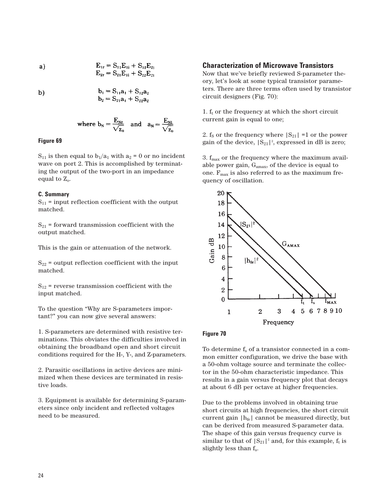a) 
$$
E_{1r} = S_{11}E_{1i} + S_{12}E_{2}
$$

$$
E_{2r} = S_{21}E_{1i} + S_{22}E_{2i}
$$

$$
\mathbf{b}
$$

$$
b_1 = S_{11}a_1 + S_{12}a_2
$$
  

$$
b_2 = S_{21}a_1 + S_{22}a_2
$$

where 
$$
b_N = \frac{E_{Nr}}{\sqrt{z_0}}
$$
 and  $a_N = \frac{E_{Ni}}{\sqrt{z_0}}$ 

## **Figure 69**

 $S_{11}$  is then equal to  $b_1/a_1$  with  $a_2 = 0$  or no incident wave on port 2. This is accomplished by terminating the output of the two-port in an impedance equal to  $Z_0$ .

#### **C. Summary**

 $S_{11}$  = input reflection coefficient with the output matched.

 $S_{21}$  = forward transmission coefficient with the output matched.

This is the gain or attenuation of the network.

 $S_{22}$  = output reflection coefficient with the input matched.

 $S_{12}$  = reverse transmission coefficient with the input matched.

To the question "Why are S-parameters important?" you can now give several answers:

1. S-parameters are determined with resistive terminations. This obviates the difficulties involved in obtaining the broadband open and short circuit conditions required for the H-, Y-, and Z-parameters.

2. Parasitic oscillations in active devices are minimized when these devices are terminated in resistive loads.

3. Equipment is available for determining S-parameters since only incident and reflected voltages need to be measured.

## **Characterization of Microwave Transistors**

Now that we've briefly reviewed S-parameter theory, let's look at some typical transistor parameters. There are three terms often used by transistor circuit designers (Fig. 70):

1.  $f_t$  or the frequency at which the short circuit current gain is equal to one;

2. f<sub>s</sub> or the frequency where  $|S_{21}| = 1$  or the power gain of the device,  $|S_{21}|^2$ , expressed in dB is zero;

3.  $f_{\text{max}}$  or the frequency where the maximum available power gain,  $G<sub>amax</sub>$ , of the device is equal to one.  $F_{\text{max}}$  is also referred to as the maximum frequency of oscillation.



## **Figure 70**

To determine  $f_s$  of a transistor connected in a common emitter configuration, we drive the base with a 50-ohm voltage source and terminate the collector in the 50-ohm characteristic impedance. This results in a gain versus frequency plot that decays at about 6 dB per octave at higher frequencies.

Due to the problems involved in obtaining true short circuits at high frequencies, the short circuit current gain  $|h_{\text{fe}}|$  cannot be measured directly, but can be derived from measured S-parameter data. The shape of this gain versus frequency curve is similar to that of  $|S_{21}|^2$  and, for this example,  $f_t$  is slightly less than  $f_s$ .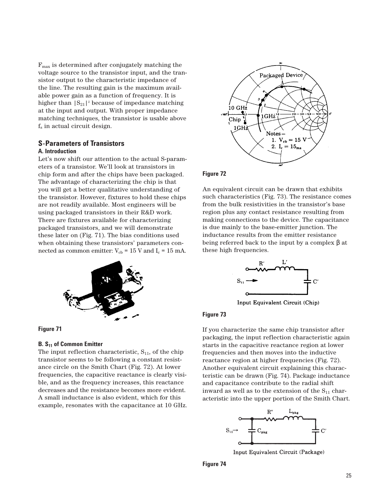$F_{\text{max}}$  is determined after conjugately matching the voltage source to the transistor input, and the transistor output to the characteristic impedance of the line. The resulting gain is the maximum available power gain as a function of frequency. It is higher than  $|S_{21}|^2$  because of impedance matching at the input and output. With proper impedance matching techniques, the transistor is usable above  $f<sub>s</sub>$  in actual circuit design.

# **S-Parameters of Transistors A. Introduction**

Let's now shift our attention to the actual S-parameters of a transistor. We'll look at transistors in chip form and after the chips have been packaged. The advantage of characterizing the chip is that you will get a better qualitative understanding of the transistor. However, fixtures to hold these chips are not readily available. Most engineers will be using packaged transistors in their R&D work. There are fixtures available for characterizing packaged transistors, and we will demonstrate these later on (Fig. 71). The bias conditions used when obtaining these transistors' parameters connected as common emitter:  $V_{cb} = 15$  V and  $I_c = 15$  mA.





## **B.** S<sub>11</sub> of Common Emitter

The input reflection characteristic,  $S_{11}$ , of the chip transistor seems to be following a constant resistance circle on the Smith Chart (Fig. 72). At lower frequencies, the capacitive reactance is clearly visible, and as the frequency increases, this reactance decreases and the resistance becomes more evident. A small inductance is also evident, which for this example, resonates with the capacitance at 10 GHz.



## **Figure 72**

An equivalent circuit can be drawn that exhibits such characteristics (Fig. 73). The resistance comes from the bulk resistivities in the transistor's base region plus any contact resistance resulting from making connections to the device. The capacitance is due mainly to the base-emitter junction. The inductance results from the emitter resistance being referred back to the input by a complex  $β$  at these high frequencies.



Input Equivalent Circuit (Chip)

# **Figure 73**

If you characterize the same chip transistor after packaging, the input reflection characteristic again starts in the capacitive reactance region at lower frequencies and then moves into the inductive reactance region at higher frequencies (Fig. 72). Another equivalent circuit explaining this characteristic can be drawn (Fig. 74). Package inductance and capacitance contribute to the radial shift inward as well as to the extension of the  $S_{11}$  characteristic into the upper portion of the Smith Chart.



Input Equivalent Circuit (Package)

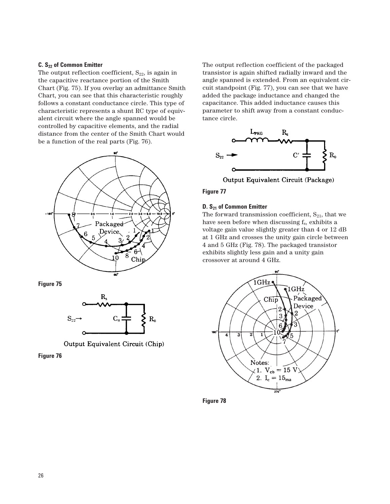## **C. S22 of Common Emitter**

The output reflection coefficient,  $S_{22}$ , is again in the capacitive reactance portion of the Smith Chart (Fig. 75). If you overlay an admittance Smith Chart, you can see that this characteristic roughly follows a constant conductance circle. This type of characteristic represents a shunt RC type of equivalent circuit where the angle spanned would be controlled by capacitive elements, and the radial distance from the center of the Smith Chart would be a function of the real parts (Fig. 76).



**Figure 75**



Output Equivalent Circuit (Chip)

**Figure 76**

The output reflection coefficient of the packaged transistor is again shifted radially inward and the angle spanned is extended. From an equivalent circuit standpoint (Fig. 77), you can see that we have added the package inductance and changed the capacitance. This added inductance causes this parameter to shift away from a constant conductance circle.



Output Equivalent Circuit (Package)

**Figure 77**

## **D. S21 of Common Emitter**

The forward transmission coefficient,  $S_{21}$ , that we have seen before when discussing  $f_s$ , exhibits a voltage gain value slightly greater than 4 or 12 dB at 1 GHz and crosses the unity gain circle between 4 and 5 GHz (Fig. 78). The packaged transistor exhibits slightly less gain and a unity gain crossover at around 4 GHz.



**Figure 78**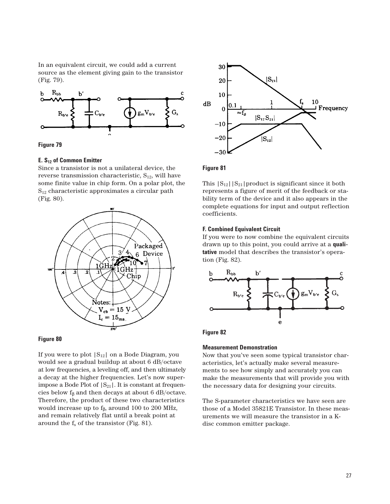In an equivalent circuit, we could add a current source as the element giving gain to the transistor (Fig. 79).





### **E. S12 of Common Emitter**

Since a transistor is not a unilateral device, the reverse transmission characteristic,  $S_{12}$ , will have some finite value in chip form. On a polar plot, the  $S_{12}$  characteristic approximates a circular path (Fig. 80).



## **Figure 80**

If you were to plot  $|S_{12}|$  on a Bode Diagram, you would see a gradual buildup at about 6 dB/octave at low frequencies, a leveling off, and then ultimately a decay at the higher frequencies. Let's now superimpose a Bode Plot of  $|S_{21}|$ . It is constant at frequencies below  $f_\beta$  and then decays at about 6 dB/octave. Therefore, the product of these two characteristics would increase up to  $f_\beta$ , around 100 to 200 MHz, and remain relatively flat until a break point at around the  $f_s$  of the transistor (Fig. 81).



# **Figure 81**

This  $|S_{12}| |S_{21}|$  product is significant since it both represents a figure of merit of the feedback or stability term of the device and it also appears in the complete equations for input and output reflection coefficients.

#### **F. Combined Equivalent Circuit**

If you were to now combine the equivalent circuits drawn up to this point, you could arrive at a **qualitative** model that describes the transistor's operation (Fig. 82).



## **Figure 82**

#### **Measurement Demonstration**

Now that you've seen some typical transistor characteristics, let's actually make several measurements to see how simply and accurately you can make the measurements that will provide you with the necessary data for designing your circuits.

The S-parameter characteristics we have seen are those of a Model 35821E Transistor. In these measurements we will measure the transistor in a Kdisc common emitter package.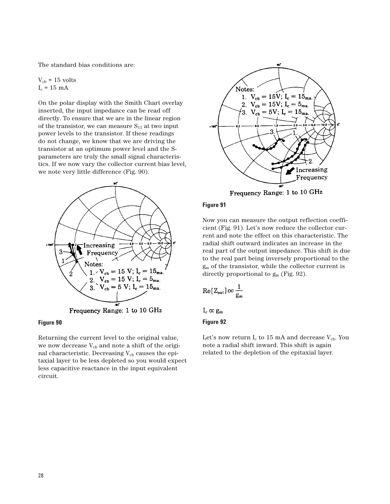The standard bias conditions are:

 $V_{cb}$  = 15 volts  $I_c = 15$  mA

On the polar display with the Smith Chart overlay inserted, the input impedance can be read off directly. To ensure that we are in the linear region of the transistor, we can measure  $S_{11}$  at two input power levels to the transistor. If these readings do not change, we know that we are driving the transistor at an optimum power level and the Sparameters are truly the small signal characteristics. If we now vary the collector current bias level, we note very little difference (Fig. 90).



**Figure 90**

Returning the current level to the original value, we now decrease  $V_{cb}$  and note a shift of the original characteristic. Decreasing  $V_{cb}$  causes the epitaxial layer to be less depleted so you would expect less capacitive reactance in the input equivalent circuit.



# **Figure 91**

Now you can measure the output reflection coefficient (Fig. 91). Let's now reduce the collector current and note the effect on this characteristic. The radial shift outward indicates an increase in the real part of the output impedance. This shift is due to the real part being inversely proportional to the gm of the transistor, while the collector current is directly proportional to  $g<sub>m</sub>$  (Fig. 92).

$$
\text{Re}[Z_{\text{out}}] \infty \frac{1}{g_m}
$$

 $I_c \propto g_m$ 

# **Figure 92**

Let's now return  $I_c$  to 15 mA and decrease  $V_{cb}$ . You note a radial shift inward. This shift is again related to the depletion of the epitaxial layer.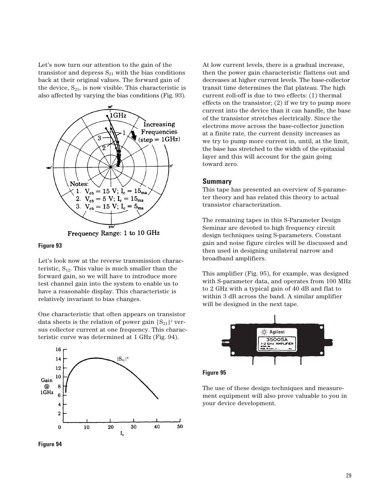Let's now turn our attention to the gain of the transistor and depress  $S_{21}$  with the bias conditions back at their original values. The forward gain of the device,  $S_{21}$ , is now visible. This characteristic is also affected by varying the bias conditions (Fig. 93).



Frequency Range: 1 to 10 GHz

## **Figure 93**

Let's look now at the reverse transmission characteristic,  $S_{12}$ . This value is much smaller than the forward gain, so we will have to introduce more test channel gain into the system to enable us to have a reasonable display. This characteristic is relatively invariant to bias changes.

One characteristic that often appears on transistor data sheets is the relation of power gain  $|S_{21}|^2$  versus collector current at one frequency. This characteristic curve was determined at 1 GHz (Fig. 94).



**Figure 94**

At low current levels, there is a gradual increase, then the power gain characteristic flattens out and decreases at higher current levels. The base-collector transit time determines the flat plateau. The high current roll-off is due to two effects: (1) thermal effects on the transistor; (2) if we try to pump more current into the device than it can handle, the base of the transistor stretches electrically. Since the electrons move across the base-collector junction at a finite rate, the current density increases as we try to pump more current in, until, at the limit, the base has stretched to the width of the epitaxial layer and this will account for the gain going toward zero.

## **Summary**

This tape has presented an overview of S-parameter theory and has related this theory to actual transistor characterization.

The remaining tapes in this S-Parameter Design Seminar are devoted to high frequency circuit design techniques using S-parameters. Constant gain and noise figure circles will be discussed and then used in designing unilateral narrow and broadband amplifiers.

This amplifier (Fig. 95), for example, was designed with S-parameter data, and operates from 100 MHz to 2 GHz with a typical gain of 40 dB and flat to within 3 dB across the band. A similar amplifier will be designed in the next tape.



**Figure 95**

The use of these design techniques and measurement equipment will also prove valuable to you in your device development.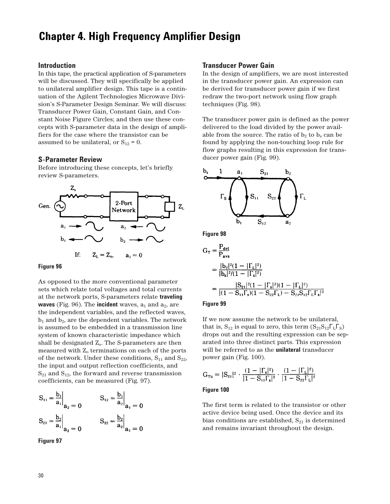# **Chapter 4. High Frequency Amplifier Design**

## **Introduction**

In this tape, the practical application of S-parameters will be discussed. They will specifically be applied to unilateral amplifier design. This tape is a continuation of the Agilent Technologies Microwave Division's S-Parameter Design Seminar. We will discuss: Transducer Power Gain, Constant Gain, and Constant Noise Figure Circles; and then use these concepts with S-parameter data in the design of amplifiers for the case where the transistor can be assumed to be unilateral, or  $S_{12} = 0$ .

#### **S-Parameter Review**

Before introducing these concepts, let's briefly review S-parameters.



#### **Figure 96**

As opposed to the more conventional parameter sets which relate total voltages and total currents at the network ports, S-parameters relate **traveling waves** (Fig. 96). The **incident** waves,  $a_1$  and  $a_2$ , are the independent variables, and the reflected waves,  $b_1$  and  $b_2$ , are the dependent variables. The network is assumed to be embedded in a transmission line system of known characteristic impedance which shall be designated  $Z_0$ . The S-parameters are then measured with  $Z_0$  terminations on each of the ports of the network. Under these conditions,  $S_{11}$  and  $S_{22}$ , the input and output reflection coefficients, and  $S_{21}$  and  $S_{12}$ , the forward and reverse transmission coefficients, can be measured (Fig. 97).

$$
S_{11} = \frac{b_1}{a_1}\Big|_{a_2 = 0}
$$
  $S_{12} = \frac{b_1}{a_2}\Big|_{a_1 = 0}$   
 $S_{21} = \frac{b_2}{a_1}\Big|_{a_2 = 0}$   $S_{22} = \frac{b_2}{a_2}\Big|_{a_1 = 0}$ 

**Figure 97**

## **Transducer Power Gain**

In the design of amplifiers, we are most interested in the transducer power gain. An expression can be derived for transducer power gain if we first redraw the two-port network using flow graph techniques (Fig. 98).

The transducer power gain is defined as the power delivered to the load divided by the power available from the source. The ratio of  $b_2$  to  $b_s$  can be found by applying the non-touching loop rule for flow graphs resulting in this expression for transducer power gain (Fig. 99).



**Figure 98**

$$
G_{T} = \frac{P_{det}}{P_{avs}}
$$
  
= 
$$
\frac{|b_{2}|^{2}(1 - |\Gamma_{L}|^{2})}{|b_{s}|^{2}/(1 - |\Gamma_{s}|^{2})}
$$
  
= 
$$
\frac{|S_{21}|^{2}(1 - |\Gamma_{s}|^{2})(1 - |\Gamma_{L}|^{2})}{|(1 - S_{11}\Gamma_{s})(1 - S_{22}\Gamma_{L}) - S_{21}S_{12}\Gamma_{L}\Gamma_{s}|^{2}}
$$

## **Figure 99**

If we now assume the network to be unilateral, that is,  $S_{12}$  is equal to zero, this term  $(S_{21}S_{12}\Gamma_{L}\Gamma_{S})$ drops out and the resulting expression can be separated into three distinct parts. This expression will be referred to as the **unilateral** transducer power gain (Fig. 100).

$$
G_{\text{Tu}} = |S_{21}|^2 \cdot \frac{(1 - |\Gamma_s|^2)}{|1 - S_{11}\Gamma_s|^2} \cdot \frac{(1 - |\Gamma_L|^2)}{|1 - S_{22}\Gamma_L|^2}
$$

#### **Figure 100**

The first term is related to the transistor or other active device being used. Once the device and its bias conditions are established,  $S_{21}$  is determined and remains invariant throughout the design.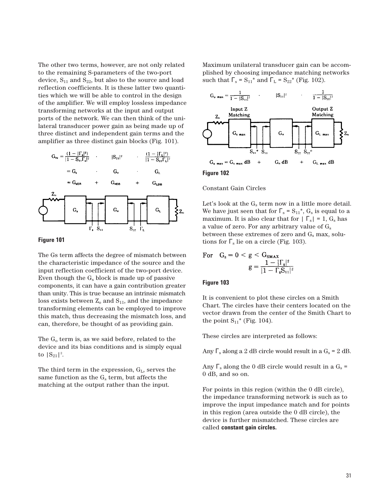The other two terms, however, are not only related to the remaining S-parameters of the two-port device,  $S_{11}$  and  $S_{22}$ , but also to the source and load reflection coefficients. It is these latter two quantities which we will be able to control in the design of the amplifier. We will employ lossless impedance transforming networks at the input and output ports of the network. We can then think of the unilateral transducer power gain as being made up of three distinct and independent gain terms and the amplifier as three distinct gain blocks (Fig. 101).



#### **Figure 101**

The Gs term affects the degree of mismatch between the characteristic impedance of the source and the input reflection coefficient of the two-port device. Even though the  $G_s$  block is made up of passive components, it can have a gain contribution greater than unity. This is true because an intrinsic mismatch loss exists between  $Z_0$  and  $S_{11}$ , and the impedance transforming elements can be employed to improve this match, thus decreasing the mismatch loss, and can, therefore, be thought of as providing gain.

The  $G_0$  term is, as we said before, related to the device and its bias conditions and is simply equal to  $|S_{21}|^2$ .

The third term in the expression,  $G_L$ , serves the same function as the  $G_s$  term, but affects the matching at the output rather than the input.

Maximum unilateral transducer gain can be accomplished by choosing impedance matching networks such that  $\Gamma_s = S_{11}^*$  and  $\Gamma_L = S_{22}^*$  (Fig. 102).



**Figure 102**

## Constant Gain Circles

Let's look at the  $G_s$  term now in a little more detail. We have just seen that for  $\Gamma_s = S_{11}^*$ ,  $G_s$  is equal to a maximum. It is also clear that for  $|\Gamma_{\rm s}| = 1$ ,  $G_{\rm s}$  has a value of zero. For any arbitrary value of  $G_s$ between these extremes of zero and  $G_s$  max, solutions for  $\Gamma_s$  lie on a circle (Fig. 103).

For 
$$
G_s = 0 < g < G_{\text{SMAX}}
$$
\n
$$
g = \frac{1 - |\Gamma_s|^2}{|1 - \Gamma_s S_{11}|^2}
$$

#### **Figure 103**

It is convenient to plot these circles on a Smith Chart. The circles have their centers located on the vector drawn from the center of the Smith Chart to the point  $S_{11}$ <sup>\*</sup> (Fig. 104).

These circles are interpreted as follows:

Any  $\Gamma_s$  along a 2 dB circle would result in a  $G_s = 2$  dB.

Any  $\Gamma$ <sub>s</sub> along the 0 dB circle would result in a  $G_s$  = 0 dB, and so on.

For points in this region (within the 0 dB circle), the impedance transforming network is such as to improve the input impedance match and for points in this region (area outside the 0 dB circle), the device is further mismatched. These circles are called **constant gain circles.**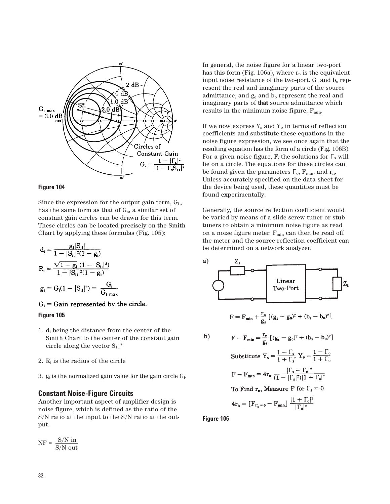

## **Figure 104**

Since the expression for the output gain term,  $G<sub>L</sub>$ , has the same form as that of  $G_s$ , a similar set of constant gain circles can be drawn for this term. These circles can be located precisely on the Smith Chart by applying these formulas (Fig. 105):

$$
d_{i} = \frac{g_{i}|S_{ii}|}{1 - |S_{ii}|^{2}(1 - g_{i})}
$$
  
\n
$$
R_{i} = \frac{\sqrt{1 - g_{i}} (1 - |S_{ii}|^{2})}{1 - |S_{ii}|^{2}(1 - g_{i})}
$$
  
\n
$$
g_{i} = G_{i}(1 - |S_{ii}|^{2}) = \frac{G_{i}}{G_{i max}}
$$

 $G_i$  = Gain represented by the circle.

# **Figure 105**

- 1.  $d_i$  being the distance from the center of the Smith Chart to the center of the constant gain circle along the vector  $S_{11}^*$
- 2.  $R_i$  is the radius of the circle
- 3.  $g_i$  is the normalized gain value for the gain circle  $G_i$ .

## **Constant Noise-Figure Circuits**

Another important aspect of amplifier design is noise figure, which is defined as the ratio of the S/N ratio at the input to the S/N ratio at the output.

 $NF = \frac{S/N \text{ in}}{S/N \text{ out}}$ 

In general, the noise figure for a linear two-port has this form (Fig. 106a), where  $r_n$  is the equivalent input noise resistance of the two-port.  $G_s$  and  $b_s$  represent the real and imaginary parts of the source admittance, and  $g_0$  and  $b_0$  represent the real and imaginary parts of **that** source admittance which results in the minimum noise figure,  $F_{min}$ .

If we now express  $Y_s$  and  $Y_o$  in terms of reflection coefficients and substitute these equations in the noise figure expression, we see once again that the resulting equation has the form of a circle (Fig. 106B). For a given noise figure, F, the solutions for  $\Gamma_s$  will lie on a circle. The equations for these circles can be found given the parameters  $\Gamma_{\text{o}}$ ,  $\Gamma_{\text{min}}$ , and  $r_{\text{n}}$ . Unless accurately specified on the data sheet for the device being used, these quantities must be found experimentally.

Generally, the source reflection coefficient would be varied by means of a slide screw tuner or stub tuners to obtain a minimum noise figure as read on a noise figure meter.  $F_{min}$  can then be read off the meter and the source reflection coefficient can be determined on a network analyzer.

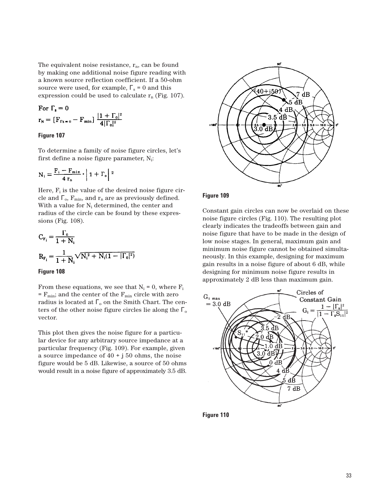The equivalent noise resistance,  $r_n$ , can be found by making one additional noise figure reading with a known source reflection coefficient. If a 50-ohm source were used, for example,  $\Gamma_s = 0$  and this expression could be used to calculate  $r_n$  (Fig. 107).

For 
$$
\Gamma_{\rm s} = 0
$$
  
\n
$$
r_{\rm N} = [F_{\Gamma_{\rm s}=0} - F_{\rm min}] \frac{|1 + \Gamma_0|^2}{4|\Gamma_0|^2}
$$

## **Figure 107**

To determine a family of noise figure circles, let's first define a noise figure parameter,  $N_i$ :

$$
N_i = \frac{F_i - F_{min}}{4 r_n} \cdot \left| 1 + \Gamma_o \right| {}^2
$$

Here,  $F_i$  is the value of the desired noise figure circle and  $\Gamma_o$ ,  $F_{min}$ , and  $r_n$  are as previously defined. With a value for  $N_i$  determined, the center and radius of the circle can be found by these expressions (Fig. 108).

$$
C_{F_i} = \frac{\Gamma_0}{1 + N_i}
$$
  
\n
$$
R_{F_i} = \frac{1}{1 + N_i} \sqrt{N_i^2 + N_i (1 - |\Gamma_0|^2)}
$$

## **Figure 108**

From these equations, we see that  $N_i = 0$ , where  $F_i$  $=$   ${\bf F}_{\rm min};$  and the center of the  ${\bf F}_{\rm min}$  circle with zero radius is located at  $\Gamma$ <sub>o</sub> on the Smith Chart. The centers of the other noise figure circles lie along the  $\Gamma_{o}$ vector.

This plot then gives the noise figure for a particular device for any arbitrary source impedance at a particular frequency (Fig. 109). For example, given a source impedance of  $40 + j50$  ohms, the noise figure would be 5 dB. Likewise, a source of 50 ohms would result in a noise figure of approximately 3.5 dB.



## **Figure 109**

Constant gain circles can now be overlaid on these noise figure circles (Fig. 110). The resulting plot clearly indicates the tradeoffs between gain and noise figure that have to be made in the design of low noise stages. In general, maximum gain and minimum noise figure cannot be obtained simultaneously. In this example, designing for maximum gain results in a noise figure of about 6 dB, while designing for minimum noise figure results in approximately 2 dB less than maximum gain.



**Figure 110**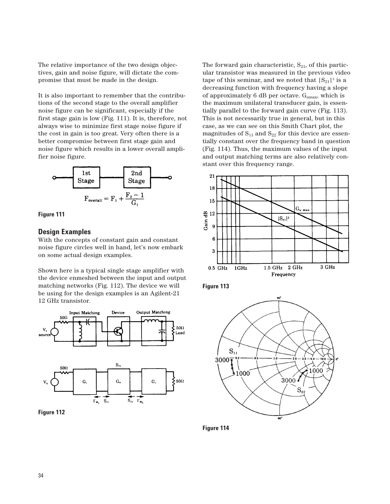The relative importance of the two design objectives, gain and noise figure, will dictate the compromise that must be made in the design.

It is also important to remember that the contributions of the second stage to the overall amplifier noise figure can be significant, especially if the first stage gain is low (Fig. 111). It is, therefore, not always wise to minimize first stage noise figure if the cost in gain is too great. Very often there is a better compromise between first stage gain and noise figure which results in a lower overall amplifier noise figure.





## **Design Examples**

With the concepts of constant gain and constant noise figure circles well in hand, let's now embark on some actual design examples.

Shown here is a typical single stage amplifier with the device enmeshed between the input and output matching networks (Fig. 112). The device we will be using for the design examples is an Agilent-21 12 GHz transistor.



**Figure 112**

The forward gain characteristic,  $S_{21}$ , of this particular transistor was measured in the previous video tape of this seminar, and we noted that  $|S_{21}|^2$  is a decreasing function with frequency having a slope of approximately 6 dB per octave.  $G<sub>umax</sub>$ , which is the maximum unilateral transducer gain, is essentially parallel to the forward gain curve (Fig. 113). This is not necessarily true in general, but in this case, as we can see on this Smith Chart plot, the magnitudes of  $S_{11}$  and  $S_{22}$  for this device are essentially constant over the frequency band in question (Fig. 114). Thus, the maximum values of the input and output matching terms are also relatively constant over this frequency range.







**Figure 114**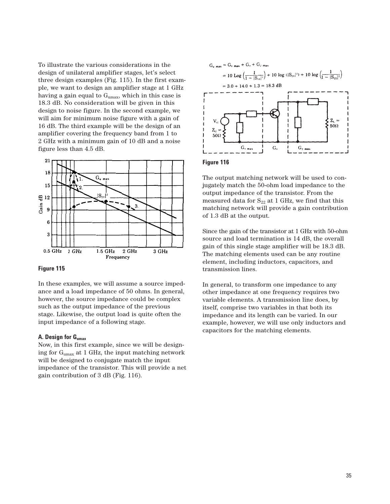To illustrate the various considerations in the design of unilateral amplifier stages, let's select three design examples (Fig. 115). In the first example, we want to design an amplifier stage at 1 GHz having a gain equal to  $G<sub>umax</sub>$ , which in this case is 18.3 dB. No consideration will be given in this design to noise figure. In the second example, we will aim for minimum noise figure with a gain of 16 dB. The third example will be the design of an amplifier covering the frequency band from 1 to 2 GHz with a minimum gain of 10 dB and a noise figure less than 4.5 dB.



#### **Figure 115**

In these examples, we will assume a source impedance and a load impedance of 50 ohms. In general, however, the source impedance could be complex such as the output impedance of the previous stage. Likewise, the output load is quite often the input impedance of a following stage.

#### **A. Design for Gumax**

Now, in this first example, since we will be designing for Gumax at 1 GHz, the input matching network will be designed to conjugate match the input impedance of the transistor. This will provide a net gain contribution of 3 dB (Fig. 116).



## **Figure 116**

The output matching network will be used to conjugately match the 50-ohm load impedance to the output impedance of the transistor. From the measured data for  $S_{22}$  at 1 GHz, we find that this matching network will provide a gain contribution of 1.3 dB at the output.

Since the gain of the transistor at 1 GHz with 50-ohm source and load termination is 14 dB, the overall gain of this single stage amplifier will be 18.3 dB. The matching elements used can be any routine element, including inductors, capacitors, and transmission lines.

In general, to transform one impedance to any other impedance at one frequency requires two variable elements. A transmission line does, by itself, comprise two variables in that both its impedance and its length can be varied. In our example, however, we will use only inductors and capacitors for the matching elements.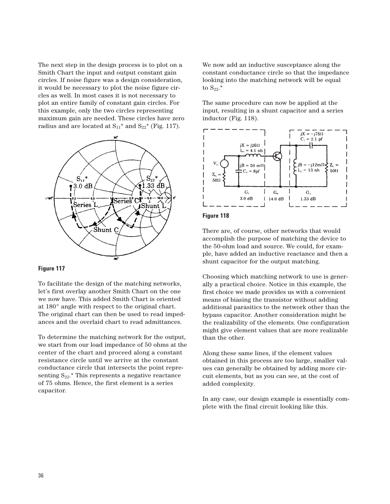The next step in the design process is to plot on a Smith Chart the input and output constant gain circles. If noise figure was a design consideration, it would be necessary to plot the noise figure circles as well. In most cases it is not necessary to plot an entire family of constant gain circles. For this example, only the two circles representing maximum gain are needed. These circles have zero radius and are located at  $S_{11}$ <sup>\*</sup> and  $S_{22}$ <sup>\*</sup> (Fig. 117).



## **Figure 117**

To facilitate the design of the matching networks, let's first overlay another Smith Chart on the one we now have. This added Smith Chart is oriented at 180° angle with respect to the original chart. The original chart can then be used to read impedances and the overlaid chart to read admittances.

To determine the matching network for the output, we start from our load impedance of 50 ohms at the center of the chart and proceed along a constant resistance circle until we arrive at the constant conductance circle that intersects the point representing  $S_{22}.*$  This represents a negative reactance of 75 ohms. Hence, the first element is a series capacitor.

We now add an inductive susceptance along the constant conductance circle so that the impedance looking into the matching network will be equal to  $S_{22}$ .\*

The same procedure can now be applied at the input, resulting in a shunt capacitor and a series inductor (Fig. 118).





There are, of course, other networks that would accomplish the purpose of matching the device to the 50-ohm load and source. We could, for example, have added an inductive reactance and then a shunt capacitor for the output matching.

Choosing which matching network to use is generally a practical choice. Notice in this example, the first choice we made provides us with a convenient means of biasing the transistor without adding additional parasitics to the network other than the bypass capacitor. Another consideration might be the realizability of the elements. One configuration might give element values that are more realizable than the other.

Along these same lines, if the element values obtained in this process are too large, smaller values can generally be obtained by adding more circuit elements, but as you can see, at the cost of added complexity.

In any case, our design example is essentially complete with the final circuit looking like this.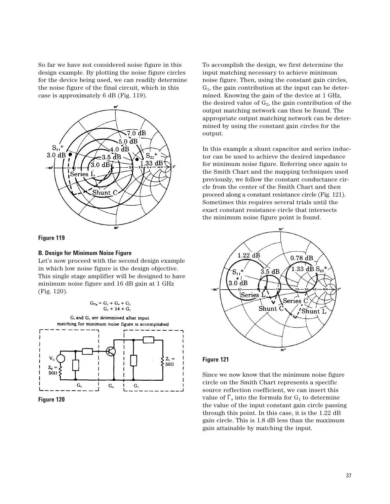So far we have not considered noise figure in this design example. By plotting the noise figure circles for the device being used, we can readily determine the noise figure of the final circuit, which in this case is approximately 6 dB (Fig. 119).



#### **Figure 119**

#### **B. Design for Minimum Noise Figure**

Let's now proceed with the second design example in which low noise figure is the design objective. This single stage amplifier will be designed to have minimum noise figure and 16 dB gain at 1 GHz (Fig. 120).

$$
G_{\tau u} = G_1 + G_u + G_2
$$
  

$$
G_1 + 14 + G_2
$$



**Figure 120**

To accomplish the design, we first determine the input matching necessary to achieve minimum noise figure. Then, using the constant gain circles,  $G<sub>1</sub>$ , the gain contribution at the input can be determined. Knowing the gain of the device at 1 GHz, the desired value of  $G_2$ , the gain contribution of the output matching network can then be found. The appropriate output matching network can be determined by using the constant gain circles for the output.

In this example a shunt capacitor and series inductor can be used to achieve the desired impedance for minimum noise figure. Referring once again to the Smith Chart and the mapping techniques used previously, we follow the constant conductance circle from the center of the Smith Chart and then proceed along a constant resistance circle (Fig. 121). Sometimes this requires several trials until the exact constant resistance circle that intersects the minimum noise figure point is found.



#### **Figure 121**

Since we now know that the minimum noise figure circle on the Smith Chart represents a specific source reflection coefficient, we can insert this value of  $\Gamma$ <sub>s</sub> into the formula for  $G_1$  to determine the value of the input constant gain circle passing through this point. In this case, it is the 1.22 dB gain circle. This is 1.8 dB less than the maximum gain attainable by matching the input.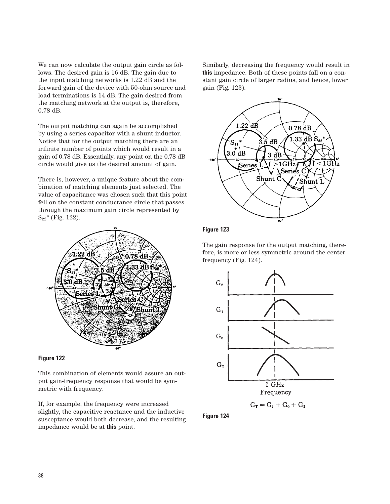We can now calculate the output gain circle as follows. The desired gain is 16 dB. The gain due to the input matching networks is 1.22 dB and the forward gain of the device with 50-ohm source and load terminations is 14 dB. The gain desired from the matching network at the output is, therefore, 0.78 dB.

The output matching can again be accomplished by using a series capacitor with a shunt inductor. Notice that for the output matching there are an infinite number of points which would result in a gain of 0.78 dB. Essentially, any point on the 0.78 dB circle would give us the desired amount of gain.

There is, however, a unique feature about the combination of matching elements just selected. The value of capacitance was chosen such that this point fell on the constant conductance circle that passes through the maximum gain circle represented by  $S_{22}$ <sup>\*</sup> (Fig. 122).





This combination of elements would assure an output gain-frequency response that would be symmetric with frequency.

If, for example, the frequency were increased slightly, the capacitive reactance and the inductive susceptance would both decrease, and the resulting impedance would be at **this** point.

Similarly, decreasing the frequency would result in **this** impedance. Both of these points fall on a constant gain circle of larger radius, and hence, lower gain (Fig. 123).



# **Figure 123**

The gain response for the output matching, therefore, is more or less symmetric around the center frequency (Fig. 124).



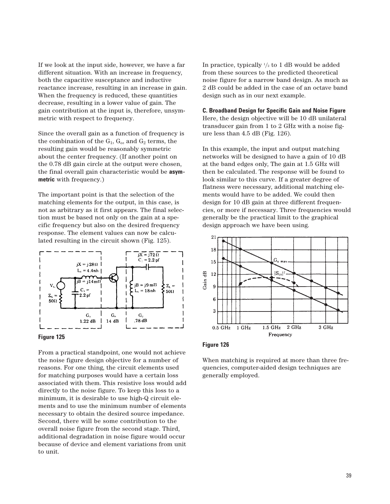If we look at the input side, however, we have a far different situation. With an increase in frequency, both the capacitive susceptance and inductive reactance increase, resulting in an increase in gain. When the frequency is reduced, these quantities decrease, resulting in a lower value of gain. The gain contribution at the input is, therefore, unsymmetric with respect to frequency.

Since the overall gain as a function of frequency is the combination of the  $G_1$ ,  $G_0$ , and  $G_2$  terms, the resulting gain would be reasonably symmetric about the center frequency. (If another point on the 0.78 dB gain circle at the output were chosen, the final overall gain characteristic would be **asymmetric** with frequency.)

The important point is that the selection of the matching elements for the output, in this case, is not as arbitrary as it first appears. The final selection must be based not only on the gain at a specific frequency but also on the desired frequency response. The element values can now be calculated resulting in the circuit shown (Fig. 125).



### **Figure 125**

From a practical standpoint, one would not achieve the noise figure design objective for a number of reasons. For one thing, the circuit elements used for matching purposes would have a certain loss associated with them. This resistive loss would add directly to the noise figure. To keep this loss to a minimum, it is desirable to use high-Q circuit elements and to use the minimum number of elements necessary to obtain the desired source impedance. Second, there will be some contribution to the overall noise figure from the second stage. Third, additional degradation in noise figure would occur because of device and element variations from unit to unit.

In practice, typically 1 /2 to 1 dB would be added from these sources to the predicted theoretical noise figure for a narrow band design. As much as 2 dB could be added in the case of an octave band design such as in our next example.

**C. Broadband Design for Specific Gain and Noise Figure**  Here, the design objective will be 10 dB unilateral transducer gain from 1 to 2 GHz with a noise figure less than 4.5 dB (Fig. 126).

In this example, the input and output matching networks will be designed to have a gain of 10 dB at the band edges only, The gain at 1.5 GHz will then be calculated. The response will be found to look similar to this curve. If a greater degree of flatness were necessary, additional matching elements would have to be added. We could then design for 10 dB gain at three different frequencies, or more if necessary. Three frequencies would generally be the practical limit to the graphical design approach we have been using.





When matching is required at more than three frequencies, computer-aided design techniques are generally employed.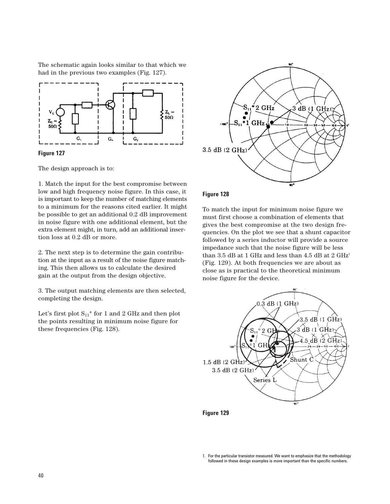The schematic again looks similar to that which we had in the previous two examples (Fig. 127).





The design approach is to:

1. Match the input for the best compromise between low and high frequency noise figure. In this case, it is important to keep the number of matching elements to a minimum for the reasons cited earlier. It might be possible to get an additional 0.2 dB improvement in noise figure with one additional element, but the extra element might, in turn, add an additional insertion loss at 0.2 dB or more.

2. The next step is to determine the gain contribution at the input as a result of the noise figure matching. This then allows us to calculate the desired gain at the output from the design objective.

3. The output matching elements are then selected, completing the design.

Let's first plot  $\mathrm{S_{11}}^*$  for 1 and 2 GHz and then plot the points resulting in minimum noise figure for these frequencies (Fig. 128).



## **Figure 128**

To match the input for minimum noise figure we must first choose a combination of elements that gives the best compromise at the two design frequencies. On the plot we see that a shunt capacitor followed by a series inductor will provide a source impedance such that the noise figure will be less than 3.5 dB at 1 GHz and less than 4.5 dB at 2 GHz<sup>1</sup> (Fig. 129). At both frequencies we are about as close as is practical to the theoretical minimum noise figure for the device.



**Figure 129**

<sup>1.</sup> For the particular transistor measured. We want to emphasize that the methodology followed in these design examples is more important than the specific numbers.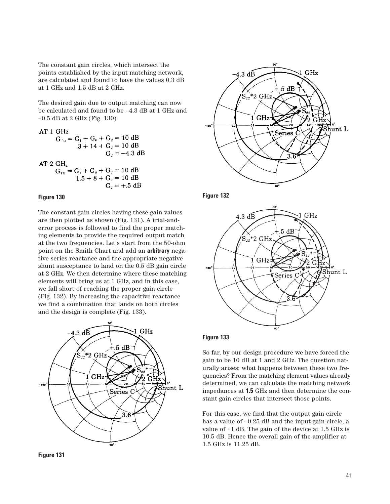The constant gain circles, which intersect the points established by the input matching network, are calculated and found to have the values 0.3 dB at 1 GHz and 1.5 dB at 2 GHz.

The desired gain due to output matching can now be calculated and found to be –4.3 dB at 1 GHz and +0.5 dB at 2 GHz (Fig. 130).

AT 1 GHz  
\n
$$
G_{Tu} = G_1 + G_0 + G_2 = 10 dB
$$
\n
$$
.3 + 14 + G_2 = 10 dB
$$
\n
$$
G_2 = -4.3 dB
$$
\nAT 2 GHz

$$
G_{Tu} = G_1 + G_0 + G_2 = 10 \text{ dB}
$$
  
1.5 + 8 + G<sub>2</sub> = 10 dB  
G<sub>2</sub> = +.5 dB

## **Figure 130**

The constant gain circles having these gain values are then plotted as shown (Fig. 131). A trial-anderror process is followed to find the proper matching elements to provide the required output match at the two frequencies. Let's start from the 50-ohm point on the Smith Chart and add an **arbitrary** negative series reactance and the appropriate negative shunt susceptance to land on the 0.5 dB gain circle at 2 GHz. We then determine where these matching elements will bring us at 1 GHz, and in this case, we fall short of reaching the proper gain circle (Fig. 132). By increasing the capacitive reactance we find a combination that lands on both circles and the design is complete (Fig. 133).



**Figure 131**









So far, by our design procedure we have forced the gain to be 10 dB at 1 and 2 GHz. The question naturally arises: what happens between these two frequencies? From the matching element values already determined, we can calculate the matching network impedances at **1.5** GHz and then determine the constant gain circles that intersect those points.

For this case, we find that the output gain circle has a value of  $-0.25$  dB and the input gain circle, a value of +1 dB. The gain of the device at 1.5 GHz is 10.5 dB. Hence the overall gain of the amplifier at 1.5 GHz is 11.25 dB.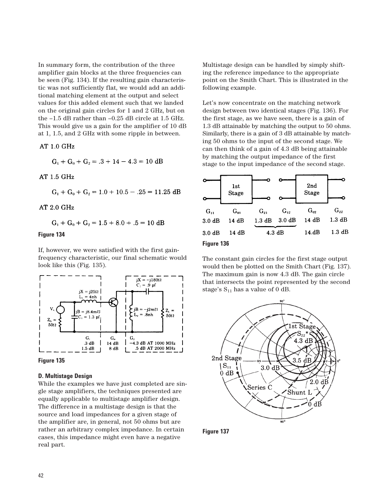In summary form, the contribution of the three amplifier gain blocks at the three frequencies can be seen (Fig. 134). If the resulting gain characteristic was not sufficiently flat, we would add an additional matching element at the output and select values for this added element such that we landed on the original gain circles for 1 and 2 GHz, but on the –1.5 dB rather than –0.25 dB circle at 1.5 GHz. This would give us a gain for the amplifier of 10 dB at 1, 1.5, and 2 GHz with some ripple in between.

AT 1.0 GHz

 $G_1 + G_0 + G_2 = .3 + 14 - 4.3 = 10$  dB

AT 1.5 GHz

 $G_1 + G_0 + G_2 = 1.0 + 10.5 - .25 = 11.25$  dB

AT 2.0 GHz

 $G_1 + G_0 + G_2 = 1.5 + 8.0 + .5 = 10$  dB

## **Figure 134**

If, however, we were satisfied with the first gainfrequency characteristic, our final schematic would look like this (Fig. 135).





#### **D. Multistage Design**

While the examples we have just completed are single stage amplifiers, the techniques presented are equally applicable to multistage amplifier design. The difference in a multistage design is that the source and load impedances for a given stage of the amplifier are, in general, not 50 ohms but are rather an arbitrary complex impedance. In certain cases, this impedance might even have a negative real part.

Multistage design can be handled by simply shifting the reference impedance to the appropriate point on the Smith Chart. This is illustrated in the following example.

Let's now concentrate on the matching network design between two identical stages (Fig. 136). For the first stage, as we have seen, there is a gain of 1.3 dB attainable by matching the output to 50 ohms. Similarly, there is a gain of 3 dB attainable by matching 50 ohms to the input of the second stage. We can then think of a gain of 4.3 dB being attainable by matching the output impedance of the first stage to the input impedance of the second stage.



The constant gain circles for the first stage output would then be plotted on the Smith Chart (Fig. 137). The maximum gain is now 4.3 dB. The gain circle that intersects the point represented by the second stage's  $S_{11}$  has a value of 0 dB.



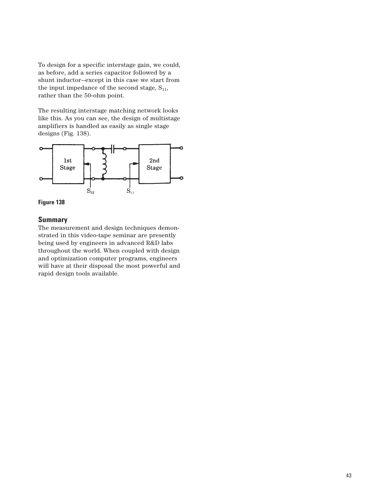To design for a specific interstage gain, we could, as before, add a series capacitor followed by a shunt inductor—except in this case we start from the input impedance of the second stage,  $S_{11}$ , rather than the 50-ohm point.

The resulting interstage matching network looks like this. As you can see, the design of multistage amplifiers is handled as easily as single stage designs (Fig. 138).





# **Summary**

The measurement and design techniques demonstrated in this video-tape seminar are presently being used by engineers in advanced R&D labs throughout the world. When coupled with design and optimization computer programs, engineers will have at their disposal the most powerful and rapid design tools available.